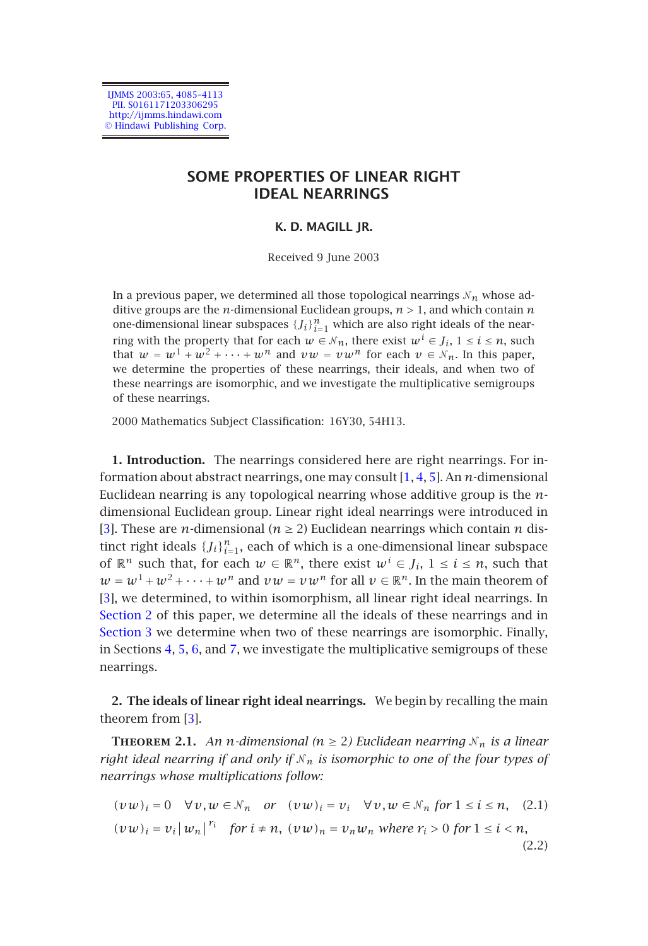IJMMS 2003:65, 4085–4113 PII. S0161171203306295 http://ijmms.hindawi.com © Hindawi Publishing Corp.

# **SOME PROPERTIES OF LINEAR RIGHT IDEAL NEARRINGS**

# **K. D. MAGILL JR.**

Received 9 June 2003

In a previous paper, we determined all those topological nearrings  $N_n$  whose additive groups are the *n*-dimensional Euclidean groups, *n >* 1, and which contain *n* one-dimensional linear subspaces  ${J_i}_{i=1}^n$  which are als[o](#page-27-0) [rig](#page-28-0)[ht](#page-28-1) ideals of the nearring with the property that for each  $w \in \mathcal{N}_n$ , there exist  $w^i \in J_i$ ,  $1 \le i \le n$ , such that  $w = w^1 + w^2 + \cdots + w^n$  and  $vw = vw^n$  for each  $v \in \mathcal{N}_n$ . In this paper, we determine the properties of these nearrings, their ideals, and when two of these nearrings are isomorphic, and we investigate the multiplicative semigroups of these nearrings.

2000 Mathematics Subject Classification: 16Y30, 54H13.

<span id="page-0-0"></span>**[1. Intro](#page-0-0)duction.** The nearrings considered here are right nearrings. For in[formation](#page-7-0) about abstract nearrings, one may consult [1, 4, 5]. An *n*-dimensional Euclidean [ne](#page-12-0)[arr](#page-13-0)[in](#page-16-0)g is [an](#page-19-0)y topological nearring whose additive group is the *n*dimensional Euclidean group. Linear right ideal nearrings were introduced in [3]. These are *n*-dimensional ( $n \geq 2$ ) Euclidean nearrings which contain *n* distinct right ideals  $\{J_i\}_{i=1}^n$ , each of which is a one-dimensional linear subspace of  $\mathbb{R}^n$  such th[at,](#page-27-1) for each  $w \in \mathbb{R}^n$ , there exist  $w^i \in J_i$ ,  $1 \le i \le n$ , such that  $w = w^1 + w^2 + \cdots + w^n$  and  $vw = vw^n$  for all  $v \in \mathbb{R}^n$ . In the main theorem of [3], we determined, to within isomorphism, all linear right ideal nearrings. In Section 2 of this paper, we determine all the ideals of these nearrings and in Section 3 we determine when two of these nearrings are isomorphic. Finally, in Sections 4, 5, 6, and 7, we investigate the multiplicative semigroups of these nearrings.

<span id="page-0-1"></span>**2. The ideals of linear right ideal nearrings.** We begin by recalling the main theorem from [3].

**THEOREM 2.1.** An *n*-dimensional ( $n \ge 2$ ) Euclidean nearring  $N_n$  is a linear *right ideal nearring if and only if*  $\mathcal{N}_n$  *is isomorphic to one of the four types of nearrings whose multiplications follow:*

$$
(vw)_i = 0 \quad \forall v, w \in \mathcal{N}_n \quad or \quad (vw)_i = v_i \quad \forall v, w \in \mathcal{N}_n \text{ for } 1 \le i \le n, \quad (2.1)
$$
\n
$$
(vw)_i = v_i |w_n|^{r_i} \quad \text{for } i \ne n, \ (vw)_n = v_n w_n \text{ where } r_i > 0 \text{ for } 1 \le i < n,
$$
\n
$$
(2.2)
$$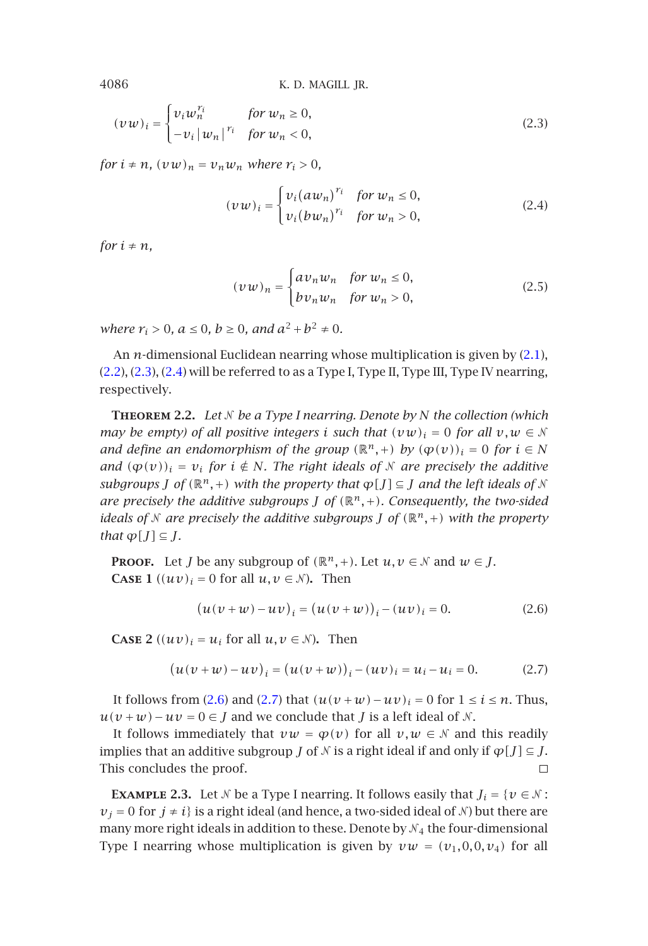$$
(\nu w)_i = \begin{cases} \nu_i w_n^{r_i} & \text{for } w_n \ge 0, \\ -\nu_i |w_n|^{r_i} & \text{for } w_n < 0, \end{cases}
$$
 (2.3)

*for*  $i \neq n$ *,*  $(vw)_n = v_nw_n$  where  $r_i > 0$ *,* 

<span id="page-1-1"></span><span id="page-1-0"></span>
$$
(\nu w)_i = \begin{cases} v_i (a w_n)^{r_i} & \text{for } w_n \le 0, \\ v_i (b w_n)^{r_i} & \text{for } w_n > 0, \end{cases}
$$
 (2.4)

*for*  $i \neq n$ *,* 

$$
(\nu w)_n = \begin{cases} av_n w_n & \text{for } w_n \le 0, \\ bv_n w_n & \text{for } w_n > 0, \end{cases}
$$
 (2.5)

*where*  $r_i > 0$ ,  $a \le 0$ ,  $b \ge 0$ , and  $a^2 + b^2 \ne 0$ .

An *n*-dimensional Euclidean nearring whose multiplication is given by (2.1), (2.2), (2.3), (2.4) will be referred to as a Type I, Type II, Type III, Type IV nearring, respectively.

**Theorem 2.2.** *Let be a Type I nearring. Denote by N the collection (which may be empty) of all positive integers <i>i* such that  $(vw)_i = 0$  for all  $v, w \in \mathbb{N}$ *and define an endomorphism of the group*  $(\mathbb{R}^n,+)$  *by*  $(\varphi(v))_i = 0$  *for*  $i \in N$ *and*  $(\varphi(v))_i = v_i$  *for*  $i \notin N$ *. The right ideals of N are precisely the additive subgroups J of*  $(\mathbb{R}^n, +)$  *with the property that*  $\varphi[J] \subseteq J$  *and the left ideals of N are precisely the additive subgroups J of*  $(\mathbb{R}^n, +)$ *. Consequently, the two-sided ideals of N* are precisely the additive subgroups *J* of  $(\mathbb{R}^n,+)$  with the property *that*  $\varphi[J] \subseteq J$ *.* 

**PROOF.** Let *J* be any subgroup of  $(\mathbb{R}^n, +)$ . Let  $u, v \in \mathcal{N}$  and  $w \in J$ . **CASE 1**  $((uv)_i = 0$  for all  $u, v \in \mathcal{N}$ ). Then

$$
(u(v + w) - uv)_i = (u(v + w))_i - (uv)_i = 0.
$$
 (2.6)

**CASE** 2  $((uv)_i = u_i$  for all  $u, v \in \mathcal{N}$ ). Then

$$
(u(v + w) - uv)_i = (u(v + w))_i - (uv)_i = u_i - u_i = 0.
$$
 (2.7)

It follows from (2.6) and (2.7) that  $(u(v+w)-uv)_i = 0$  for  $1 \le i \le n$ . Thus,  $u(v + w) - uv = 0 \in J$  and we conclude that *J* is a left ideal of *N*.

It follows immediately that  $vw = \varphi(v)$  for all  $v, w \in \mathcal{N}$  and this readily implies that an additive subgroup *J* of  $\mathcal N$  is a right ideal if and only if  $\varphi$ [*J*]  $\subseteq$  *J*. This concludes the proof.  $\Box$ 

**EXAMPLE 2.3.** Let  $\mathcal{N}$  be a Type I nearring. It follows easily that  $J_i = \{v \in \mathcal{N} :$  $v_j = 0$  for  $j \neq i$ } is a right ideal (and hence, a two-sided ideal of  $N$ ) but there are many more right ideals in addition to these. Denote by  $\mathcal{N}_4$  the four-dimensional Type I nearring whose multiplication is given by  $vw = (v_1, 0, 0, v_4)$  for all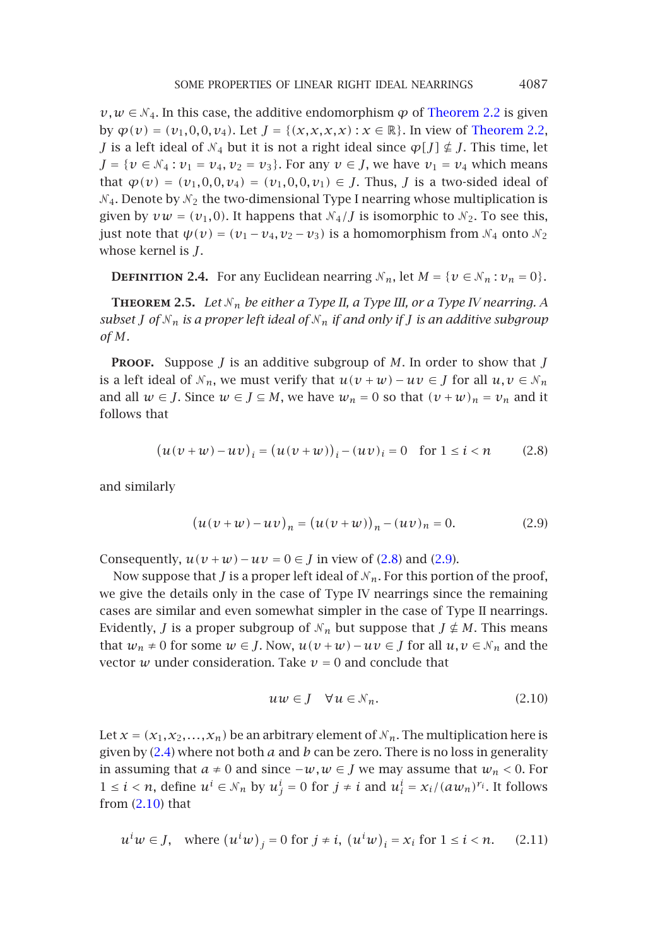<span id="page-2-3"></span> $\nu, w \in \mathcal{N}_4$ . In this case, the additive endomorphism  $\varphi$  of Theorem 2.2 is given by  $\varphi(v) = (v_1, 0, 0, v_4)$ . Let  $J = \{(x, x, x, x) : x \in \mathbb{R}\}$ . In view of Theorem 2.2, *J* is a left ideal of  $\mathcal{N}_4$  but it is not a right ideal since  $\varphi[J] \nsubseteq J$ . This time, let *J* = {*v* ∈  $\mathcal{N}_4$  : *v*<sub>1</sub> = *v*<sub>4</sub>*, v*<sub>2</sub> = *v*<sub>3</sub>}. For any *v* ∈ *J*, we have *v*<sub>1</sub> = *v*<sub>4</sub> which means that  $\varphi(v) = (v_1, 0, 0, v_4) = (v_1, 0, 0, v_1) \in J$ . Thus, *J* is a two-sided ideal of  $\mathcal{N}_4$ . Denote by  $\mathcal{N}_2$  the two-dimensional Type I nearring whose multiplication is given by  $vw = (v_1, 0)$ . It happens that  $\mathcal{N}_4 / J$  is isomorphic to  $\mathcal{N}_2$ . To see this, just note that  $\psi(v) = (v_1 - v_4, v_2 - v_3)$  is a homomorphism from  $\mathcal{N}_4$  onto  $\mathcal{N}_2$ whose kernel is *J*.

<span id="page-2-0"></span>**DEFINITION 2.4.** For any Euclidean nearring  $N_n$ , let  $M = \{v \in N_n : v_n = 0\}$ .

**THEOREM** 2.5. Let  $N_n$  be either a Type II, a Type III, or a Type IV nearring. A *subset J* of  $N_n$  *is a proper left ideal of*  $N_n$  *if and only if J is an additive subgroup of M.*

**Proof.** Suppose *J* is an additive subgroup of *M*. In order to show that *J* is a left ideal of  $\mathcal{N}_n$ , we must verify that  $u(v + w) - uv \in J$  for all  $u, v \in \mathcal{N}_n$ and all  $w \in J$ . Since  $w \in J \subseteq M$ , we ha[v](#page-2-1)e  $w_n = 0$  $w_n = 0$  [so](#page-2-0) that  $(v + w)_n = v_n$  and it follows that

$$
(u(v + w) - uv)_i = (u(v + w))_i - (uv)_i = 0 \text{ for } 1 \le i < n
$$
 (2.8)

and similarly

<span id="page-2-2"></span><span id="page-2-1"></span>
$$
(u(v + w) - uv)_n = (u(v + w))_n - (uv)_n = 0.
$$
 (2.9)

Consequently,  $u(v + w) - uv = 0 \in J$  in view of (2.8) and (2.9).

Now suppose that *J* is a proper left ideal of  $N_n$ . For this portion of the proof, we give t[he d](#page-1-0)etails only in the case of Type IV nearrings since the remaining cases are similar and even somewhat simpler in the case of Type II nearrings. Evidently, *J* is a proper subgroup of  $N_n$  but suppose that  $J \not\in M$ . This means that  $w_n \neq 0$  for some  $w \in J$ . Now,  $u(v + w) - uv \in J$  for all  $u, v \in \mathcal{N}_n$  and the vector  $w$  under consideration. Take  $v = 0$  and conclude that

$$
uw \in J \quad \forall u \in \mathcal{N}_n. \tag{2.10}
$$

Let  $x = (x_1, x_2, \ldots, x_n)$  be an arbitrary element of  $N_n$ . The multiplication here is given by (2.4) where not both *a* and *b* can be zero. There is no loss in generality in assuming that *a* ≠ 0 and since  $-w, w \in J$  we may assume that  $w_n < 0$ . For 1 ≤ *i* < *n*, define  $u^i$  ∈  $\mathcal{N}_n$  by  $u^i_j$  = 0 for  $j \neq i$  and  $u^i_i = x_i/(aw_n)^{r_i}$ . It follows from  $(2.10)$  that

$$
u^i w \in J, \quad \text{where } (u^i w)_j = 0 \text{ for } j \neq i, \ (u^i w)_i = x_i \text{ for } 1 \leq i < n. \tag{2.11}
$$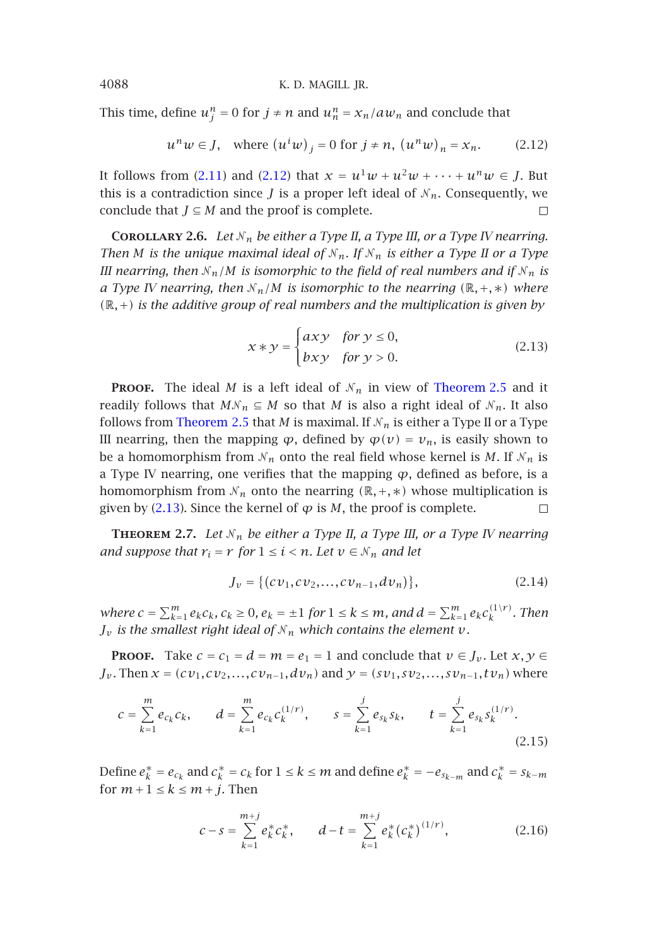This time, define  $u_j^n = 0$  for  $j \neq n$  and  $u_n^n = x_n/aw_n$  and conclude that

$$
u^n w \in J
$$
, where  $(u^i w)_j = 0$  for  $j \neq n$ ,  $(u^n w)_n = x_n$ . (2.12)

It follows from (2.11) and (2.12) that  $x = u^1w + u^2w + \cdots + u^n w \in J$ . But this is a contradiction since *J* is a proper left ideal of  $N_n$ . Consequently, we conclude that  $J \subseteq M$  and the proof is complete.  $\Box$ 

**COROLLARY 2.6.** *Let*  $N_n$  *be either a Type II, a Type III, o[r a Type IV ne](#page-2-3)arring. Then M is the unique maximal ideal of*  $N_n$ *. If*  $N_n$  *is either a Type II or a Type III nearring, then*  $N_n/M$  $N_n/M$  *is isomorphic to the field of real numbers and if*  $N_n$  *is a Type IV nearring, then*  $\mathcal{N}_n/M$  *is isomorphic to the nearring*  $(\mathbb{R}, +, *)$  *where (*R*,*+*) is the additive group of real numbers and the multiplication is given by*

$$
x * y = \begin{cases} axy & \text{for } y \le 0, \\ bxy & \text{for } y > 0. \end{cases}
$$
 (2.13)

**PROOF.** The ideal *M* is a left ideal of  $N_n$  in view of Theorem 2.5 and it readily follows that  $MN_n \subseteq M$  so that *M* is also a right ideal of  $N_n$ . It also follows from Theorem 2.5 that *M* is maximal. If  $N_n$  is either a Type II or a Type III nearring, then the mapping  $\varphi$ , defined by  $\varphi(v) = v_n$ , is easily shown to be a homomorphism from  $N_n$  onto the real field whose kernel is M. If  $N_n$  is a Type IV nearring, one verifies that the mapping *ϕ*, defined as before, is a homomorphism from  $\mathcal{N}_n$  onto the nearring  $(\mathbb{R}, +, *)$  whose multiplication is given by  $(2.13)$ . Since the kernel of  $\varphi$  is *M*, the proof is complete.  $\Box$ 

**THEOREM 2.7.** Let  $N_n$  be either a Type II, a Type III, or a Type IV nearring *and suppose that*  $r_i = r$  *for*  $1 \leq i \leq n$ *. Let*  $v \in \mathcal{N}_n$  *and let* 

$$
J_{\nu} = \{ (c\,\nu_1, c\,\nu_2, \dots, c\,\nu_{n-1}, d\,\nu_n) \},\tag{2.14}
$$

where  $c = \sum_{k=1}^{m} e_k c_k$ ,  $c_k \ge 0$ ,  $e_k = \pm 1$  for  $1 \le k \le m$ , and  $d = \sum_{k=1}^{m} e_k c_k^{(1/r)}$ . Then  $J_{\nu}$  *is the smallest right ideal of*  $N_{n}$  *which contains the element*  $\nu$ *.* 

**PROOF.** Take  $c = c_1 = d = m = e_1 = 1$  and conclude that  $v \in J_v$ . Let  $x, y \in$  $J_{\nu}$ . Then  $x = (cv_1, cv_2,...,cv_{n-1}, dv_n)$  and  $y = (sv_1, sv_2,...,sv_{n-1}, tv_n)$  where

$$
c = \sum_{k=1}^{m} e_{c_k} c_k, \qquad d = \sum_{k=1}^{m} e_{c_k} c_k^{(1/r)}, \qquad s = \sum_{k=1}^{j} e_{s_k} s_k, \qquad t = \sum_{k=1}^{j} e_{s_k} s_k^{(1/r)}.
$$
\n(2.15)

Define  $e_k^* = e_{c_k}$  and  $c_k^* = c_k$  for  $1 \le k \le m$  and define  $e_k^* = -e_{s_{k-m}}$  and  $c_k^* = s_{k-m}$ for  $m+1 \leq k \leq m+j$ . Then

$$
c - s = \sum_{k=1}^{m+j} e_k^* c_k^*, \qquad d - t = \sum_{k=1}^{m+j} e_k^* (c_k^*)^{(1/r)}, \tag{2.16}
$$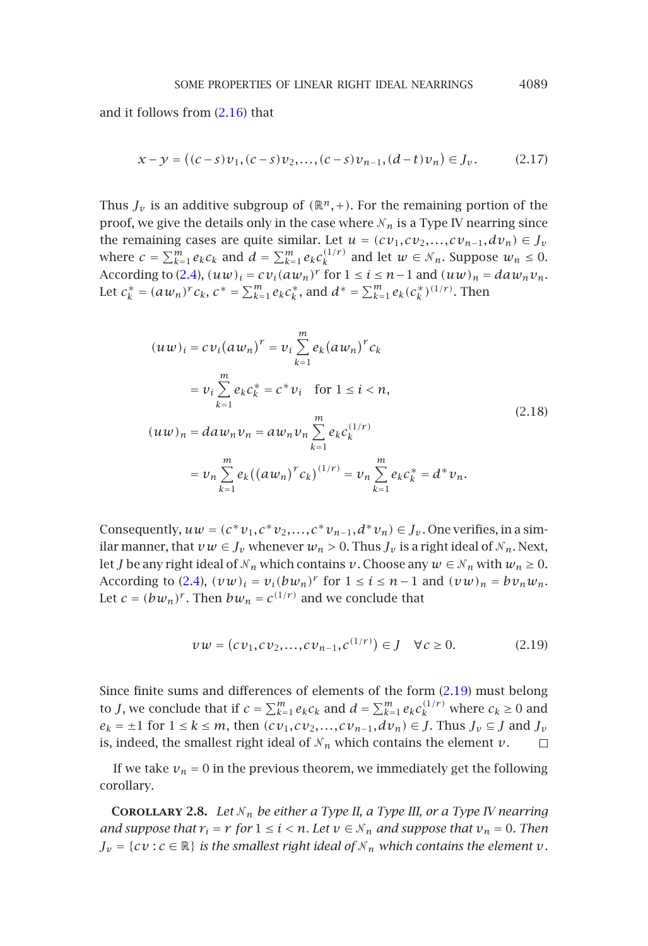SOME PROPERTIES OF LINEAR RIGHT IDEAL NEARRINGS 4089

and it follow[s](#page-1-0) [fro](#page-1-0)m (2.16) that

$$
x - y = ((c - s)v_1, (c - s)v_2, \dots, (c - s)v_{n-1}, (d - t)v_n) \in J_v.
$$
 (2.17)

Thus  $J_\nu$  is an additive subgroup of  $(\mathbb{R}^n, +)$ . For the remaining portion of the proof, we give the details only in the case where  $N_n$  is a Type IV nearring since the remaining cases are quite similar. Let  $u = (cv_1, cv_2,...,cv_{n-1}, dv_n) \in J_v$ where  $c = \sum_{k=1}^m e_k c_k$  and  $d = \sum_{k=1}^m e_k c_k^{(1/r)}$  and let  $w \in \mathcal{N}_n$ . Suppose  $w_n \leq 0$ . According to (2.4),  $(uw)_i = cv_i(aw_n)^r$  for  $1 \le i \le n-1$  and  $(uw)_n = daw_nv_n$ . Let  $c_k^* = (aw_n)^r c_k$ ,  $c^* = \sum_{k=1}^m e_k c_k^*$ , and  $d^* = \sum_{k=1}^m e_k (c_k^*)^{(1/r)}$ . Then

$$
(uw)_i = cv_i(aw_n)^r = v_i \sum_{k=1}^m e_k(aw_n)^r c_k
$$
  
=  $v_i \sum_{k=1}^m e_k c_k^* = c^* v_i$  for  $1 \le i < n$ ,  

$$
(uw)_n = daw_n v_n = aw_n v_n \sum_{k=1}^m e_k c_k^{(1/r)}
$$
  
=  $v_n \sum_{k=1}^m e_k ((aw_n)^r c_k)^{(1/r)} = v_n \sum_{k=1}^m e_k c_k^* = d^* v_n.$  (2.18)

Consequently,  $uw = (c * v_1, c * v_2, \ldots, c * v_{n-1}, d * v_n) \in J_v$ . One verifies, in a similar manner, that  $vw \in J_v$  whenever  $w_n > 0$ . Thus  $J_v$  is a rig[ht](#page-4-0) [idea](#page-4-0)l of  $\mathcal{N}_n$ . Next, let *J* be any right ideal of  $\mathcal{N}_n$  which contains  $v$ . Choose any  $w \in \mathcal{N}_n$  with  $w_n \geq 0$ . According to (2.4),  $(vw)_i = v_i(bw_n)^r$  for  $1 \le i \le n-1$  and  $(vw)_n = bv_nw_n$ . Let  $c = (bw_n)^r$ . Then  $bw_n = c^{(1/r)}$  and we conclude that

<span id="page-4-0"></span>
$$
vw = (cv_1, cv_2,...,cv_{n-1},c^{(1/r)}) \in J \quad \forall c \ge 0.
$$
 (2.19)

Since finite sums and differences of elements of the form (2.19) must belong to *J*, we conclude that if  $c = \sum_{k=1}^{m} e_k c_k$  and  $d = \sum_{k=1}^{m} e_k c_k^{(1/r)}$  where  $c_k \ge 0$  and  $e_k = \pm 1$  for  $1 \leq k \leq m$ , then  $(cv_1, cv_2,...,cv_{n-1}, dv_n) \in J$ . Thus  $J_v \subseteq J$  and  $J_v$ is, indeed, the smallest right ideal of  $N_n$  which contains the element  $v$ .  $\Box$ 

If we take  $v_n = 0$  in the previous theorem, we immediately get the following corollary.

**COROLLARY 2.8.** Let  $N_n$  be either a Type II, a Type III, or a Type IV nearring *and suppose that*  $r_i = r$  *for*  $1 \le i \le n$ *. Let*  $v \in N_n$  *and suppose that*  $v_n = 0$ *. Then*  $J_{\nu} = \{cv : c \in \mathbb{R}\}\$ is the smallest right ideal of  $N_n$  which contains the element  $v$ *.*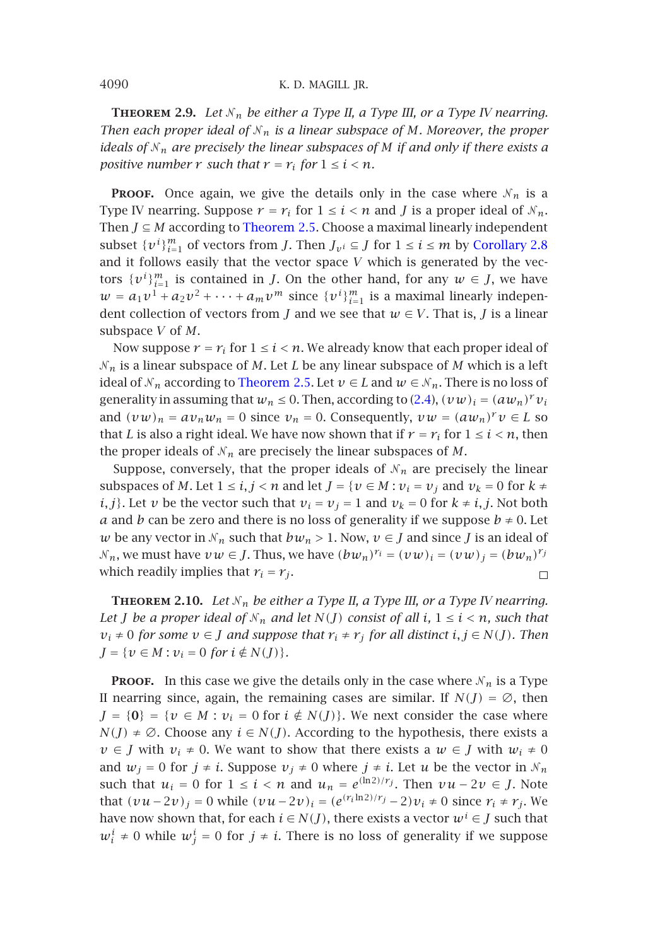**THEOREM 2.9.** Let  $N_n$  be either a Type II, a Type III, or a Type IV nearring. *Then each proper ideal of*  $N_n$  *is a linear subspace of M. Moreover, the proper ideals of <sup>n</sup> are precisely the linear subspaces of M if and only if there exists a positive number*  $r$  *such that*  $r = r_i$  *for*  $1 \le i \le n$ *.* 

**PROOF.** Once again, we give the details only in the case where  $N_n$  is a Type IV nearring. Suppose  $r = r_i$  for  $1 \le i < n$  and *J* is a proper ideal of  $N_n$ . Then *J* ⊆ *M* according to [Theorem 2.5](#page-2-3). Choose a maximal linearly independent subset  $\{v^i\}_{i=1}^m$  of vectors from *J*. Then  $J_{v^i} \subseteq J$  for  $1 \le i \le m$  by Corollary 2.8 and it follows easily that the vector space *V* which is generated by the vectors  $\{v^i\}_{i=1}^m$  is contained in *J*. On the other hand, for any  $w \in J$ , we have  $w = a_1v^1 + a_2v^2 + \cdots + a_mv^m$  since  $\{v^i\}_{i=1}^m$  is a maximal linearly independent collection of vectors from *J* and we see that  $w \in V$ . That is, *J* is a linear subspace *V* of *M*.

Now suppose  $r = r_i$  for  $1 \le i < n$ . We already know that each proper ideal of *<sup>n</sup>* is a linear subspace of *M*. Let *L* be any linear subspace of *M* which is a left ideal of  $\mathcal{N}_n$  according to Theorem 2.5. Let  $v \in L$  and  $w \in \mathcal{N}_n$ . There is no loss of generality in assuming that  $w_n \leq 0$ . Then, according to (2.4),  $(vw)_i = (aw_n)^r v_i$ and  $(vw)_n = av_nw_n = 0$  since  $v_n = 0$ . Consequently,  $vw = (aw_n)^{r}v \in L$  so that *L* is also a right ideal. We have now shown that if  $r = r_i$  for  $1 \le i \le n$ , then the proper ideals of  $N_n$  are precisely the linear subspaces of  $M$ .

Suppose, conversely, that the proper ideals of  $N_n$  are precisely the linear subspaces of *M*. Let  $1 \le i, j < n$  and let  $J = \{v \in M : v_i = v_j \text{ and } v_k = 0 \text{ for } k \ne j\}$ *i, j*}. Let *v* be the vector such that  $v_i = v_j = 1$  and  $v_k = 0$  for  $k \neq i, j$ . Not both *a* and *b* can be zero and there is no loss of generality if we suppose  $b \neq 0$ . Let *w* be any vector in  $\mathcal{N}_n$  such that  $bw_n > 1$ . Now,  $v \in J$  and since *J* is an ideal of *N*<sub>n</sub>, we must have *v w* ∈ *J*. Thus, we have  $(bw_n)^{r_i} = (vw)_i = (vw)_j = (bw_n)^{r_j}$ which readily implies that  $r_i = r_j$ .  $\Box$ 

**THEOREM 2.10.** Let  $N_n$  be either a Type II, a Type III, or a Type IV nearring. *Let J be a proper ideal of*  $N_n$  *and let*  $N(J)$  *consist of all*  $i, 1 \le i \le n$ *, such that*  $v_i \neq 0$  *for some*  $v \in J$  *and suppose that*  $r_i \neq r_j$  *for all distinct*  $i, j \in N(J)$ *. Then*  $J = \{v \in M : v_i = 0 \text{ for } i \notin N(J)\}.$ 

**PROOF.** In this case we give the details only in the case where  $N_n$  is a Type II nearring since, again, the remaining cases are similar. If  $N(J) = \emptyset$ , then  $J = \{0\} = \{v \in M : v_i = 0 \text{ for } i \notin N(J)\}\.$  We next consider the case where *N(J)* ≠ ∅. Choose any  $i \in N(J)$ . According to the hypothesis, there exists a  $\nu \in J$  with  $\nu_i \neq 0$ . We want to show that there exists a  $\omega \in J$  with  $w_i \neq 0$ and  $w_j = 0$  for  $j \neq i$ . Suppose  $v_j \neq 0$  where  $j \neq i$ . Let  $u$  be the vector in  $\mathcal{N}_n$ such that  $u_i = 0$  for  $1 \le i < n$  and  $u_n = e^{(\ln 2)/r_j}$ . Then  $vu - 2v \in J$ . Note that  $(vu-2v)_i = 0$  while  $(vu-2v)_i = (e^{(r_i \ln 2)/r_j} - 2)v_i \neq 0$  since  $r_i \neq r_j$ . We have now shown that, for each  $i \in N(J)$ , there exists a vector  $w^i \in J$  such that  $w_i^i \neq 0$  while  $w_j^i = 0$  for  $j \neq i$ . There is no loss of generality if we suppose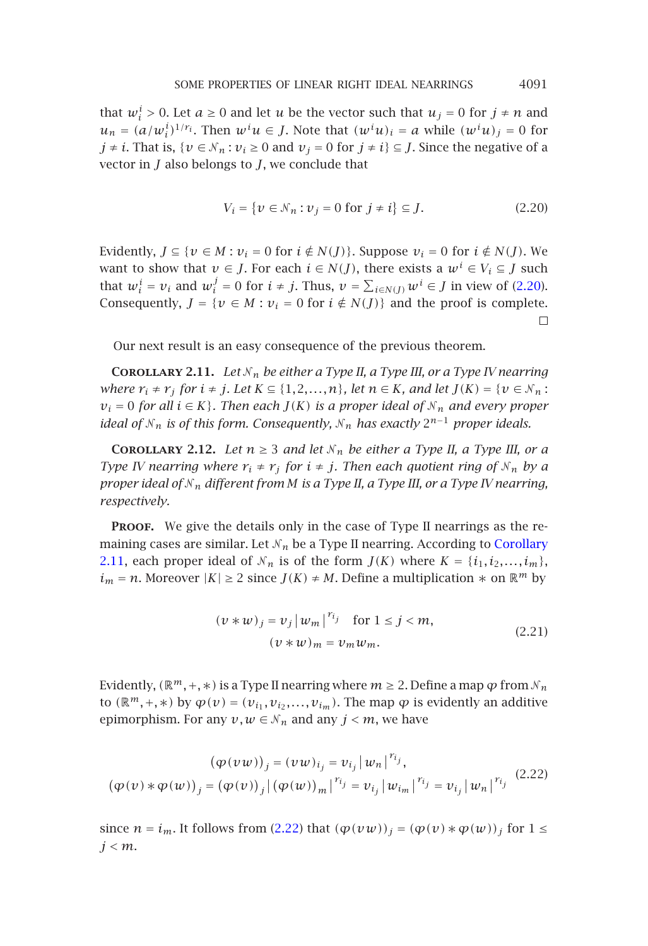that  $w_i^i > 0$ . Let  $a \ge 0$  and let  $u$  be the vector such that  $u_j = 0$  for  $j \ne n$  and  $u_n = (a/w_i^i)^{1/r_i}$ . Then  $w^i u \in J$ . Note that  $(w^i u)_i = a$  while  $(w^i u)_j = 0$  for *j* ≠ *i*. That is, {*v* ∈  $N_n$  : *v<sub>i</sub>* ≥ 0 and *v<sub>j</sub>* = 0 for *j* ≠ *i*} ⊆ *J*. Since the negative of a vector in *J* also belongs to *J*, we conclude that

<span id="page-6-0"></span>
$$
V_i = \{ v \in \mathcal{N}_n : v_j = 0 \text{ for } j \neq i \} \subseteq J.
$$
 (2.20)

<span id="page-6-1"></span>Evidently,  $J \subseteq \{v \in M : v_i = 0 \text{ for } i \notin N(J)\}$ . Suppose  $v_i = 0$  for  $i \notin N(J)$ . We want to show that  $v \in J$ . For each  $i \in N(J)$ , there exists a  $w^i \in V_i \subseteq J$  such that  $w_i^i = v_i$  and  $w_i^j = 0$  for  $i \neq j$ . Thus,  $v = \sum_{i \in N(J)} w^i \in J$  in view of (2.20). Consequently,  $J = \{v \in M : v_i = 0 \text{ for } i \notin N(J)\}\$  and the proof is complete.  $\Box$ 

Our next result is an easy consequence of the previous theorem.

**COROLLARY 2.11.** *Let*  $N_n$  *be either a Type II, a Type III, or a Type IV nearring where*  $r_i \neq r_j$  *for*  $i \neq j$ *. Let*  $K \subseteq \{1, 2, ..., n\}$ *, let*  $n \in K$ *, and let*  $J(K) = \{v \in \mathcal{N}_n :$ *v*<sub>*i*</sub> = 0 *for all i* ∈ *K*}. Then each *J*(*K*) *is a [proper](#page-6-1) ideal of*  $N_n$  *and ev[ery](#page-6-1) proper ideal of*  $N_n$  *is of this form. Consequently,*  $N_n$  *has exactly*  $2^{n-1}$  *proper ideals.* 

**COROLLARY 2.12.** *Let*  $n \geq 3$  *and let*  $N_n$  *be either a Type II, a Type III, or a Type IV nearring where*  $r_i \neq r_j$  *for*  $i \neq j$ *. Then each quotient ring of*  $N_n$  *by a proper ideal of <sup>n</sup> different from M is a Type II, a Type III, or a Type IV nearring, respectively.*

PROOF. We give the details only in the case of Type II nearrings as the remaining cases are similar. Let  $\mathcal{N}_n$  be a Type II nearring. According to Corollary 2.11, each proper ideal of  $N_n$  is of the form  $J(K)$  where  $K = \{i_1, i_2, \ldots, i_m\}$ , *i*<sub>*m*</sub> = *n*. Moreover  $|K|$  ≥ 2 since *J*(*K*) ≠ *M*. Define a multiplication  $*$  on  $\mathbb{R}^m$  by

<span id="page-6-2"></span>
$$
(v*w)j = vj |wm|rij for 1 \le j < m,
$$
  

$$
(v*w)m = vm wm.
$$
 (2.21)

Evidently,  $(\mathbb{R}^m, +, *)$  is a Type [II](#page-6-2) [nea](#page-6-2)rring where  $m \geq 2$ . Define a map  $\varphi$  from  $\mathcal{N}_n$ to  $(\mathbb{R}^m, +, *)$  by  $\varphi(v) = (v_{i_1}, v_{i_2}, \ldots, v_{i_m})$ . The map  $\varphi$  is evidently an additive epimorphism. For any  $v, w \in \mathcal{N}_n$  and any  $j < m$ , we have

$$
(\varphi(vw))_j = (vw)_{i_j} = v_{i_j} |w_n|^{r_{i_j}},
$$
  

$$
(\varphi(v) * \varphi(w))_j = (\varphi(v))_j |(\varphi(w))_m|^{r_{i_j}} = v_{i_j} |w_{i_m}|^{r_{i_j}} = v_{i_j} |w_n|^{r_{i_j}}
$$
 (2.22)

since  $n = i_m$ . It follows from (2.22) that  $(\varphi(vw))_j = (\varphi(v) * \varphi(w))_j$  for  $1 \leq$ *j<m*.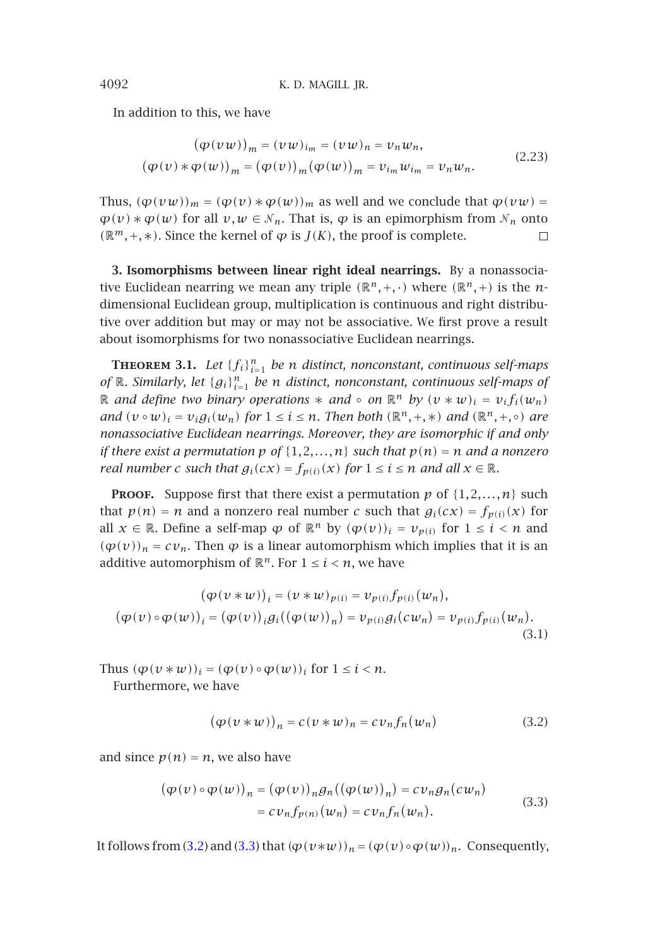In addition to this, we have

$$
(\varphi(vw))_m = (vw)_{i_m} = (vw)_n = v_nw_n,
$$
  

$$
(\varphi(v) * \varphi(w))_m = (\varphi(v))_m (\varphi(w))_m = v_{i_m}w_{i_m} = v_nw_n.
$$
 (2.23)

<span id="page-7-3"></span>Thus,  $(\varphi(vw))_m = (\varphi(v) * \varphi(w))_m$  as well and we conclude that  $\varphi(vw) =$  $\varphi(v) * \varphi(w)$  for all  $v, w \in \mathcal{N}_n$ . That is,  $\varphi$  is an epimorphism from  $\mathcal{N}_n$  onto  $(R<sup>m</sup>, +, ∗)$ . Since the kernel of  $\varphi$  is *J*(*K*), the proof is complete.  $\Box$ 

**3. Isomorphisms between linear right ideal nearrings.** By a nonassociative Euclidean nearring we mean any triple  $(\mathbb{R}^n, +, \cdot)$  where  $(\mathbb{R}^n, +)$  is the *n*dimensional Euclidean group, multiplication is continuous and right distributive over addition but may or may not be associative. We first prove a result about isomorphisms for two nonassociative Euclidean nearrings.

**Theorem 3.1.** *Let* {*fi*}*<sup>n</sup> <sup>i</sup>*=<sup>1</sup> *be n distinct, nonconstant, continuous self-maps of*  $\mathbb{R}$ *. Similarly, let*  ${g_i}_{i=1}^n$  *be n distinct, nonconstant, continuous self-maps of* R *and define two binary operations*  $∗$  *and* ◦ *on*  $\mathbb{R}^n$  *by*  $(v * w)_i = v_i f_i(w_n)$ *and*  $(v \circ w)_i = v_i g_i(w_n)$  *for*  $1 \le i \le n$ *. Then both*  $(\mathbb{R}^n, +, *)$  *and*  $(\mathbb{R}^n, +, \circ)$  *are nonassociative Euclidean nearrings. Moreover, they are isomorphic if and only if there exist a permutation p of*  $\{1, 2, ..., n\}$  *such that*  $p(n) = n$  *and a nonzero real number c such that*  $g_i(cx) = f_{p(i)}(x)$  *for*  $1 \le i \le n$  *and all*  $x \in \mathbb{R}$ *.* 

**PROOF.** Suppose first that there exist a permutation  $p$  of  $\{1, 2, ..., n\}$  such that  $p(n) = n$  and a nonzero real number *c* such that  $g_i(cx) = f_{p(i)}(x)$  for all  $x \in \mathbb{R}$ . Define a self-map  $\varphi$  of  $\mathbb{R}^n$  by  $(\varphi(v))_i = v_{\varphi(i)}$  for  $1 \leq i \leq n$  and  $(\varphi(v))_n = cv_n$ . Then  $\varphi$  is a linear automorphism which implies that it is an additive automorphism of  $\mathbb{R}^n$ . For  $1 \leq i \leq n$ , we have

$$
(\varphi(v \ast w))_i = (v \ast w)_{p(i)} = v_{p(i)} f_{p(i)}(w_n),
$$
  
\n
$$
(\varphi(v) \circ \varphi(w))_i = (\varphi(v))_i g_i((\varphi(w))_n) = v_{p(i)} g_i(cw_n) = v_{p(i)} f_{p(i)}(w_n).
$$
  
\n(3.1)

Thus  $(\varphi(v * w))_i = (\varphi(v) \circ \varphi(w))_i$  for  $1 \leq i \leq n$ .

Furthermor[e, we](#page-7-1) hav[e](#page-7-2)

<span id="page-7-2"></span><span id="page-7-1"></span>
$$
(\varphi(\nu \ast \nu))_n = c(\nu \ast \nu)_n = c\nu_n f_n(\nu_n) \tag{3.2}
$$

and since  $p(n) = n$ , we also have

$$
(\varphi(v) \circ \varphi(w))_n = (\varphi(v))_n g_n((\varphi(w))_n) = c v_n g_n(c w_n)
$$
  
=  $c v_n f_{p(n)}(w_n) = c v_n f_n(w_n).$  (3.3)

It follows from (3.2) and (3.3) that  $(\varphi(v*w))_n = (\varphi(v) \circ \varphi(w))_n$ . Consequently,

<span id="page-7-0"></span>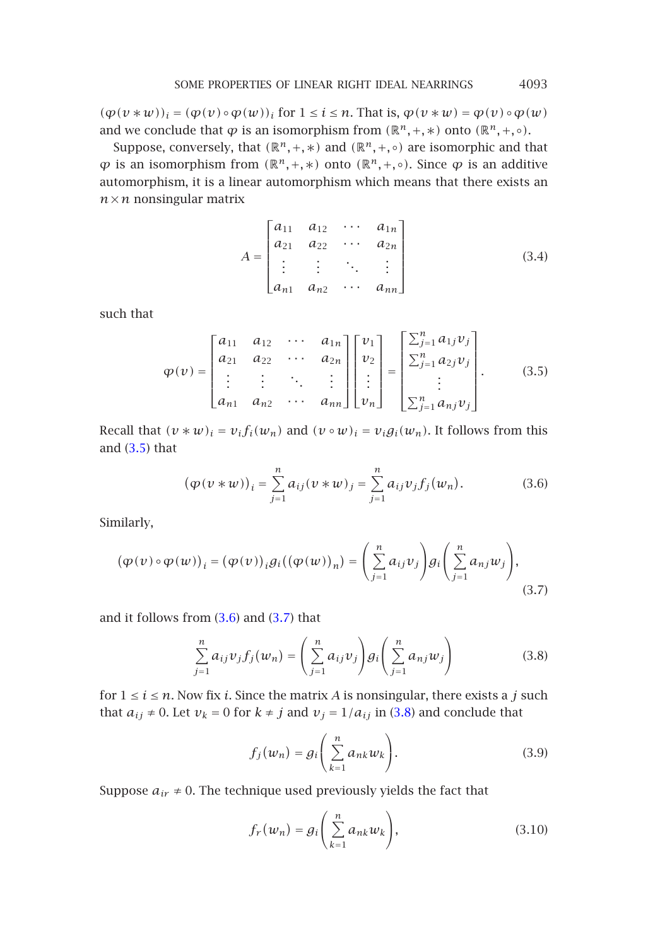$(\varphi(v * w))_i = (\varphi(v) \circ \varphi(w))_i$  for  $1 \leq i \leq n$ . That is,  $\varphi(v * w) = \varphi(v) \circ \varphi(w)$ and we conclude that  $\varphi$  is an isomorphism from  $(\mathbb{R}^n, +, *)$  onto  $(\mathbb{R}^n, +, \circ)$ .

Suppose, conversely, that  $(\mathbb{R}^n, +, *)$  and  $(\mathbb{R}^n, +, \circ)$  are isomorphic and that  $\varphi$  is an isomorphism from  $(\mathbb{R}^n, +, *)$  onto  $(\mathbb{R}^n, +, \circ)$ . Since *ϕ* is an additive automorphism, it is a linear automorphism which means that there exists an  $n \times n$  nonsingular matrix

<span id="page-8-3"></span>
$$
A = \begin{bmatrix} a_{11} & a_{12} & \cdots & a_{1n} \\ a_{21} & a_{22} & \cdots & a_{2n} \\ \vdots & \vdots & \ddots & \vdots \\ a_{n1} & a_{n2} & \cdots & a_{nn} \end{bmatrix}
$$
 (3.4)

such that

$$
\varphi(v) = \begin{bmatrix} a_{11} & a_{12} & \cdots & a_{1n} \\ a_{21} & a_{22} & \cdots & a_{2n} \\ \vdots & \vdots & \ddots & \vdots \\ a_{n1} & a_{n2} & \cdots & a_{nn} \end{bmatrix} \begin{bmatrix} v_1 \\ v_2 \\ \vdots \\ v_n \end{bmatrix} = \begin{bmatrix} \sum_{j=1}^{n} a_{1j} v_j \\ \sum_{j=1}^{n} a_{2j} v_j \\ \vdots \\ \sum_{j=1}^{n} a_{nj} v_j \end{bmatrix} .
$$
 (3.5)

Recall that  $(v * w)_i = v_i f_i(w_n)$  and  $(v \circ w)_i = v_i g_i(w_n)$ . It follows from this and  $(3.5)$  that

<span id="page-8-1"></span><span id="page-8-0"></span>
$$
(\varphi(\nu * w))_i = \sum_{j=1}^n a_{ij} (\nu * w)_j = \sum_{j=1}^n a_{ij} \nu_j f_j(w_n).
$$
 (3.6)

Similarly,

$$
(\varphi(\nu) \circ \varphi(w))_i = (\varphi(\nu))_i g_i((\varphi(w))_n) = \left(\sum_{j=1}^n a_{ij} v_j\right) g_i\left(\sum_{j=1}^n a_{nj} w_j\right),\tag{3.7}
$$

and it follows from (3.6) and (3.7) that

<span id="page-8-2"></span>
$$
\sum_{j=1}^{n} a_{ij} v_j f_j(w_n) = \left(\sum_{j=1}^{n} a_{ij} v_j\right) g_i\left(\sum_{j=1}^{n} a_{nj} w_j\right)
$$
(3.8)

for  $1 \le i \le n$ . Now fix *i*. Since the matrix *A* is nonsingular, there exists a *j* such that  $a_{ij} \neq 0$ . Let  $v_k = 0$  for  $k \neq j$  and  $v_j = 1/a_{ij}$  in (3.8) and conclude that

$$
f_j(w_n) = g_i\left(\sum_{k=1}^n a_{nk} w_k\right). \tag{3.9}
$$

Suppose  $a_{ir} \neq 0$ . The technique used previously yields the fact that

$$
f_r(w_n) = g_i\left(\sum_{k=1}^n a_{nk} w_k\right),\tag{3.10}
$$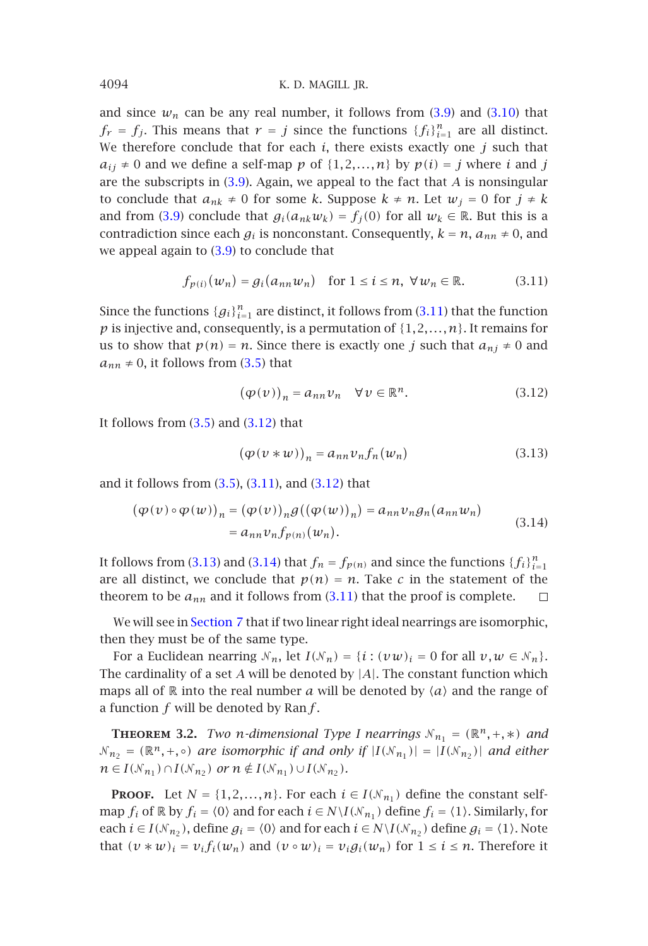[a](#page-8-2)nd since  $w_n$  can [be](#page-8-2) any real number, it follows from  $(3.9)$  and  $(3.10)$  that  $f_r = f_j$ . This means that  $r = j$  since the functions  $\{f_i\}_{i=1}^n$  are all distinct. We therefore conclude that for each *i*, there exists exactly one *j* such that  $a_{ij} \neq 0$  and we define a self-map p of  $\{1, 2, ..., n\}$  by  $p(i) = j$  $p(i) = j$  where *i* and *j* are the subscripts in (3.9). Again, we appeal to the fact that *A* is nonsingular to conclude that  $a_{nk} \neq 0$  for some *k*. Suppose  $k \neq n$ . Let  $w_j = 0$  for  $j \neq k$ and from (3.9) conclude [tha](#page-8-3)t  $g_i(a_{nk}w_k) = f_i(0)$  for all  $w_k \in \mathbb{R}$ . But this is a contradiction since each  $g_i$  is nonconstant. Consequently,  $k = n$ ,  $a_{nn} \neq 0$ , and we appeal again to (3.9) to conclude that

<span id="page-9-1"></span><span id="page-9-0"></span>
$$
f_{p(i)}(w_n) = g_i(a_{nn}w_n) \quad \text{for } 1 \le i \le n, \ \forall w_n \in \mathbb{R}.\tag{3.11}
$$

Since the functions  ${g_i}_{i=1}^n$  are distinct, it follows from (3.11) that the function  $p$  is injective and, co[nseq](#page-8-3)[uently](#page-9-0), is a [permu](#page-9-1)tation of  $\{1,2,\ldots,n\}$ . It remains for us to show that  $p(n) = n$ . Since there is exactly one *j* such that  $a_{nj} \neq 0$  and  $a_{nn} \neq 0$ , it follows from (3.5) that

<span id="page-9-3"></span><span id="page-9-2"></span>
$$
(\varphi(v))_n = a_{nn}v_n \quad \forall v \in \mathbb{R}^n. \tag{3.12}
$$

It follows from  $(3.5)$  [a](#page-9-2)nd  $(3.12)$  $(3.12)$  that

$$
(\varphi(\nu \ast \nu))_n = a_{nn} \nu_n f_n(\nu_n) \tag{3.13}
$$

and it follows f[rom](#page-19-0)  $(3.5)$ ,  $(3.11)$ , and  $(3.12)$  that

$$
(\varphi(\nu) \circ \varphi(w))_n = (\varphi(\nu))_n g((\varphi(w))_n) = a_{nn} \nu_n g_n(a_{nn} w_n)
$$
  
=  $a_{nn} \nu_n f_{p(n)}(w_n)$ . (3.14)

It follows from (3.13) and (3.14) that  $f_n = f_{p(n)}$  and since the functions  $\{f_i\}_{i=1}^n$ are all distinct, we conclude that  $p(n) = n$ . Take *c* in the statement of the theorem to be  $a_{nn}$  and it follows from  $(3.11)$  that the proof is complete.  $\Box$ 

We will see in Section 7 that if two linear right ideal nearrings are isomorphic, then they must be of the same type.

For a Euclidean nearring  $N_n$ , let  $I(N_n) = \{i : (vw)_i = 0 \text{ for all } v, w \in N_n\}.$ The cardinality of a set *A* will be denoted by |*A*|. The constant function which maps all of  $\mathbb R$  into the real number *a* will be denoted by  $\langle a \rangle$  and the range of a function *f* will be denoted by Ran*f* .

**THEOREM** 3.2. *Two n-dimensional Type I nearrings*  $N_{n_1} = (\mathbb{R}^n, +, *)$  *and*  $N_{n_2} = (\mathbb{R}^n, +, \circ)$  *are isomorphic if and only if*  $|I(N_{n_1})| = |I(N_{n_2})|$  *and either n* ∈ *I*( $N_{n_1}$ )∩*I*( $N_{n_2}$ ) *or*  $n \notin I(N_{n_1}) \cup I(N_{n_2})$ *.* 

**PROOF.** Let  $N = \{1, 2, ..., n\}$ . For each  $i \in I(\mathcal{N}_{n_1})$  define the constant selfmap  $f_i$  of  $\mathbb R$  by  $f_i = \langle 0 \rangle$  and for each  $i \in N \setminus I(\mathcal N_{n_1})$  define  $f_i = \langle 1 \rangle$ . Similarly, for each  $i \in I(\mathcal{N}_{n_2})$ , define  $g_i = \langle 0 \rangle$  and for each  $i \in N \setminus I(\mathcal{N}_{n_2})$  define  $g_i = \langle 1 \rangle$ . Note that  $(v * w)_i = v_i f_i(w_n)$  and  $(v \circ w)_i = v_i g_i(w_n)$  for  $1 \le i \le n$ . Therefore it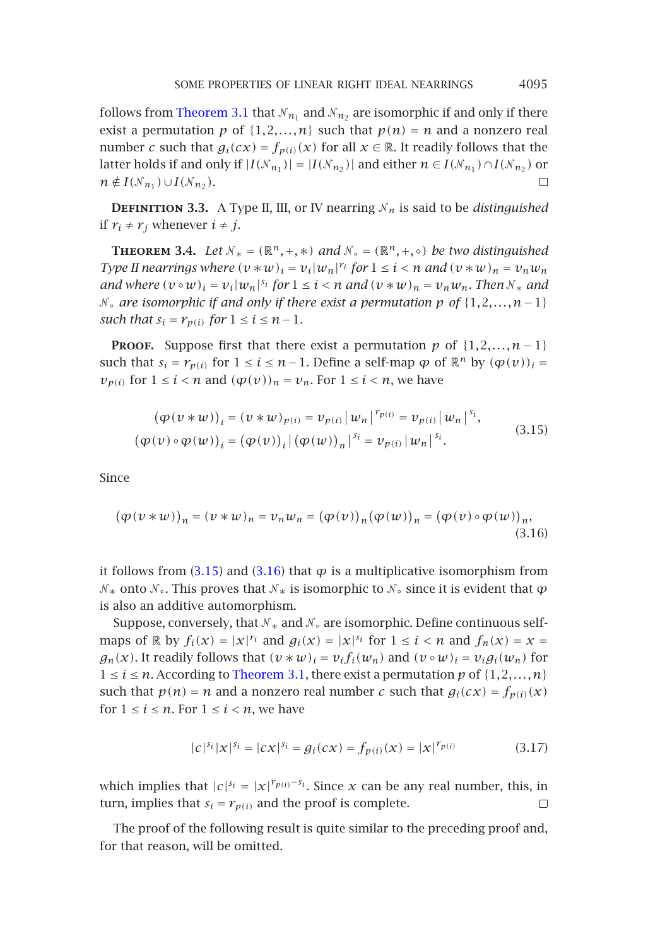follows from Theorem 3.1 that  $\mathcal{N}_{n_1}$  and  $\mathcal{N}_{n_2}$  are isomorphic if and only if there exist a permutation  $p$  of  $\{1, 2, ..., n\}$  such that  $p(n) = n$  and a nonzero real number *c* such that  $g_i(cx) = f_{p(i)}(x)$  for all  $x \in \mathbb{R}$ . It readily follows that the latter holds if and only if  $|I(\mathcal{N}_{n_1})| = |I(\mathcal{N}_{n_2})|$  and either  $n \in I(\mathcal{N}_{n_1}) \cap I(\mathcal{N}_{n_2})$  or  $n \notin I(\mathcal{N}_{n_1}) \cup I(\mathcal{N}_{n_2}).$  $\Box$ 

**DEFINITION 3.3.** A Type II, III, or IV nearring  $N_n$  is said to be *distinguished* if  $r_i$  ≠  $r_j$  whenever  $i ≠ j$ .

<span id="page-10-0"></span>**THEOREM** 3.4. *Let*  $N_* = (\mathbb{R}^n, +, *)$  *and*  $N_* = (\mathbb{R}^n, +, \circ)$  *be two distinguished Type II nearrings where*  $(v * w)_i = v_i |w_n|^{r_i}$  *for*  $1 \le i < n$  *and*  $(v * w)_n = v_n w_n$ *and where*  $(v \circ w)_i = v_i|w_n|^{s_i}$  *for*  $1 \le i < n$  *and*  $(v * w)_n = v_n w_n$ *. Then*  $\mathcal{N}_*$  *and* ◦ *are isomorphic if and only if there exist a permutation p of* {1*,*2*,...,n*−1} *such that*  $s_i = r_{p(i)}$  *for*  $1 \le i \le n-1$ *.* 

**PROOF.** Suppose first that there exist a permutation  $p$  of  $\{1, 2, ..., n-1\}$ such that  $s_i = r_{p(i)}$  for  $1 \le i \le n-1$ . Define a self-map  $\varphi$  of  $\mathbb{R}^n$  by  $(\varphi(v))_i =$  $v_{p(i)}$  for  $1 \leq i < n$  and  $(\varphi(v))_n = v_n$ . For  $1 \leq i < n$ , we have

<span id="page-10-1"></span>
$$
(\varphi(\nu \ast w))_i = (\nu \ast w)_{p(i)} = \nu_{p(i)} |w_n|^{r_{p(i)}} = \nu_{p(i)} |w_n|^{s_i},
$$
  

$$
(\varphi(\nu) \circ \varphi(w))_i = (\varphi(\nu))_i |(\varphi(w))_n|^{s_i} = \nu_{p(i)} |w_n|^{s_i}.
$$
 (3.15)

Since

$$
(\varphi(\nu \ast w))_n = (\nu \ast w)_n = \nu_n w_n = (\varphi(\nu))_n (\varphi(w))_n = (\varphi(\nu) \circ \varphi(w))_n,
$$
\n(3.16)

it follows from  $(3.15)$  and  $(3.16)$  that  $\varphi$  is a multiplicative isomorphism from  $\mathcal{N}_∗$  onto  $\mathcal{N}_ ∘$ . This proves that  $\mathcal{N}_∗$  is isomorphic to  $\mathcal{N}_ ∘$  since it is evident that  $\varphi$ is also an additive automorphism.

Suppose, conversely, that  $\mathcal{N}_*$  and  $\mathcal{N}_\circ$  are isomorphic. Define continuous selfmaps of R by  $f_i(x) = |x|^{r_i}$  and  $g_i(x) = |x|^{s_i}$  for  $1 \le i < n$  and  $f_n(x) = x =$  $g_n(x)$ . It readily follows that  $(v * w)_i = v_i f_i(w_n)$  and  $(v \circ w)_i = v_i g_i(w_n)$  for  $1 \leq i \leq n$ . According to Theorem 3.1, there exist a permutation p of  $\{1, 2, ..., n\}$ such that  $p(n) = n$  and a nonzero real number *c* such that  $g_i(cx) = f_{p(i)}(x)$ for  $1 \le i \le n$ . For  $1 \le i \le n$ , we have

$$
|c|^{s_i} |x|^{s_i} = |cx|^{s_i} = g_i(cx) = f_{p(i)}(x) = |x|^{r_{p(i)}} \tag{3.17}
$$

which implies that  $|c|^{s_i} = |x|^{r_{p(i)} - s_i}$ . Since *x* can be any real number, this, in turn, implies that  $s_i = r_{p(i)}$  and the proof is complete. □

The proof of the following result is quite similar to the preceding proof and, for that reason, will be omitted.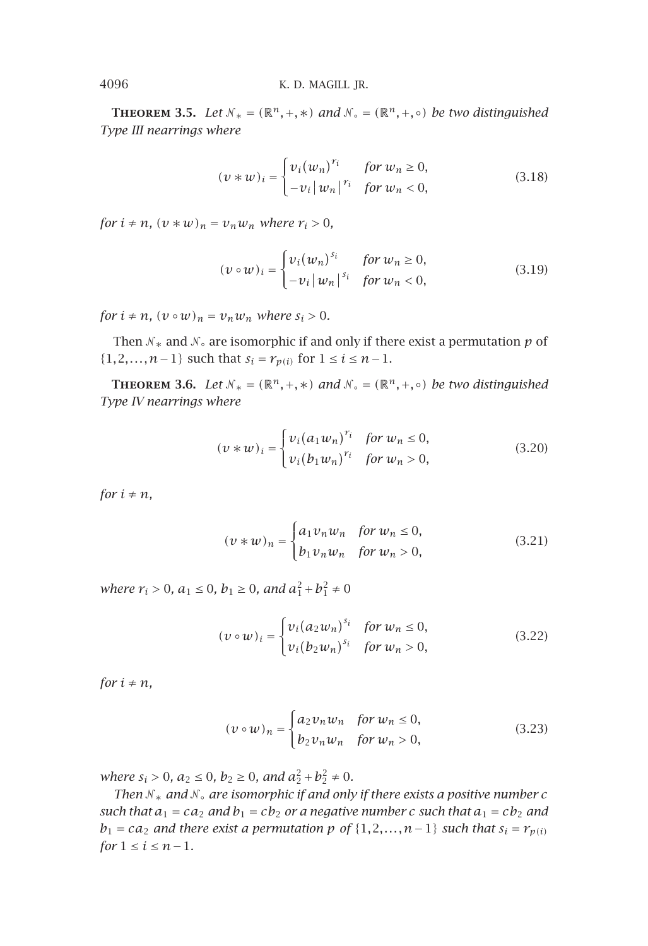**THEOREM** 3.5. *Let*  $N_* = (\mathbb{R}^n, +, *)$  *and*  $N_* = (\mathbb{R}^n, +, \circ)$  *be two distinguished Type III nearrings where*

$$
(\nu * w)_i = \begin{cases} v_i (w_n)^{r_i} & \text{for } w_n \ge 0, \\ -v_i |w_n|^{r_i} & \text{for } w_n < 0, \end{cases}
$$
 (3.18)

*for*  $i \neq n$ *,*  $(v * w)_n = v_n w_n$  *where*  $r_i > 0$ *,* 

$$
(\nu \circ \nu)_i = \begin{cases} \nu_i (\nu_n)^{s_i} & \text{for } \nu_n \ge 0, \\ -\nu_i |\nu_n|^{s_i} & \text{for } \nu_n < 0, \end{cases}
$$
(3.19)

*for*  $i \neq n$ *,*  $(v \circ w)_n = v_n w_n$  *where*  $s_i > 0$ *.* 

Then  $\mathcal{N}_*$  and  $\mathcal{N}_\circ$  are isomorphic if and only if there exist a permutation  $p$  of {1,2*,...,n*−1} such that  $s_i = r_{p(i)}$  for  $1 \le i \le n-1$ .

**THEOREM 3.6.** *Let*  $N_* = (\mathbb{R}^n, +, *)$  *and*  $N_* = (\mathbb{R}^n, +, \circ)$  *be two distinguished Type IV nearrings where*

$$
(\nu * w)_i = \begin{cases} v_i (a_1 w_n)^{r_i} & \text{for } w_n \le 0, \\ v_i (b_1 w_n)^{r_i} & \text{for } w_n > 0, \end{cases}
$$
 (3.20)

*for*  $i \neq n$ *,* 

$$
(\nu * w)_n = \begin{cases} a_1 v_n w_n & \text{for } w_n \le 0, \\ b_1 v_n w_n & \text{for } w_n > 0, \end{cases}
$$
 (3.21)

*where*  $r_i > 0$ ,  $a_1 \le 0$ ,  $b_1 \ge 0$ , and  $a_1^2 + b_1^2 \ne 0$ 

$$
(\nu \circ w)_i = \begin{cases} v_i (a_2 w_n)^{s_i} & \text{for } w_n \le 0, \\ v_i (b_2 w_n)^{s_i} & \text{for } w_n > 0, \end{cases}
$$
(3.22)

*for*  $i \neq n$ *,* 

$$
(\nu \circ w)_n = \begin{cases} a_2 v_n w_n & \text{for } w_n \le 0, \\ b_2 v_n w_n & \text{for } w_n > 0, \end{cases}
$$
 (3.23)

*where*  $s_i > 0$ ,  $a_2 \le 0$ ,  $b_2 \ge 0$ , and  $a_2^2 + b_2^2 \ne 0$ .

*Then*  $N_*$  *and*  $N_*$  *are isomorphic if and only if there exists a positive number*  $c$ *such that*  $a_1 = ca_2$  *and*  $b_1 = cb_2$  *or a negative number c such that*  $a_1 = cb_2$  *and b*<sub>1</sub> = *ca*<sub>2</sub> *and there exist a permutation p of* {1,2*,...,n*−1} *such that*  $s_i = r_{p(i)}$ *for*  $1 \le i \le n-1$ *.*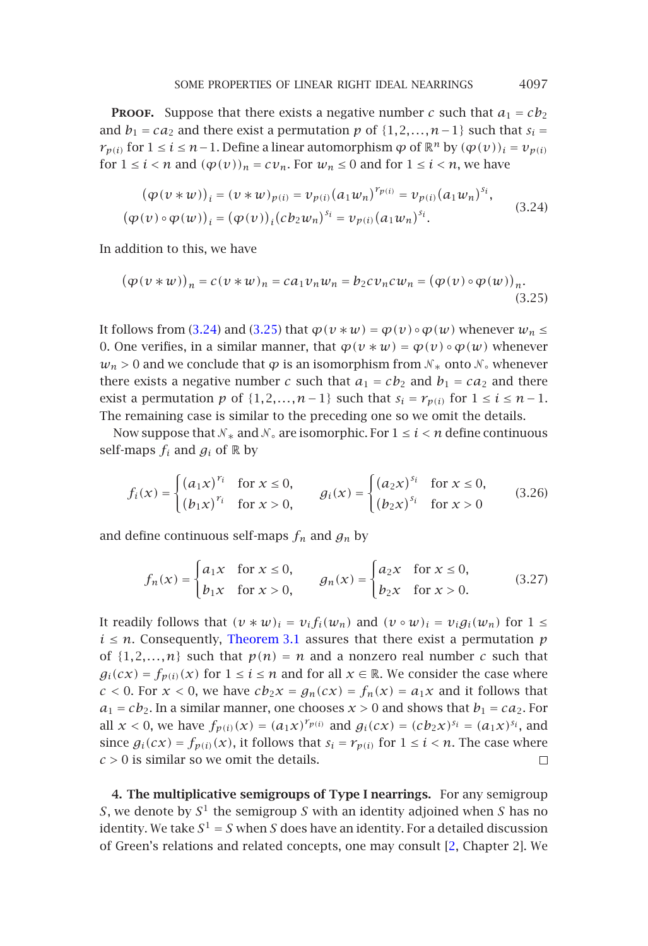**PROOF.** Suppose that there exists a negative number *c* such that  $a_1 = cb_2$ and *b*<sub>1</sub> = *ca*<sub>2</sub> and there exist a permutation *p* of {1,2*,...*,*n* − 1} such that  $s_i$  = *r*<sub>*p*(*i*)</sub> for 1 ≤ *i* ≤ *n*−1. Define a linear automorphism  $\varphi$  of  $\mathbb{R}^n$  by  $(\varphi(v))_i = v_{p(i)}$ for  $1 \le i < n$  and  $(\varphi(v))_n = cv_n$ . For  $w_n \le 0$  and for  $1 \le i < n$ , we have

$$
(\varphi(\nu \ast \nu))_i = (\nu \ast \nu)_{p(i)} = \nu_{p(i)} (a_1 w_n)^{r_{p(i)}} = \nu_{p(i)} (a_1 w_n)^{s_i},
$$
  
\n
$$
(\varphi(\nu) \circ \varphi(\nu))_i = (\varphi(\nu))_i (c b_2 w_n)^{s_i} = \nu_{p(i)} (a_1 w_n)^{s_i}.
$$
\n(3.24)

In addition to this, we have

$$
(\varphi(\nu \ast \nu))_n = c(\nu \ast \nu)_n = ca_1 \nu_n \nu_n = b_2 c \nu_n c \nu_n = (\varphi(\nu) \circ \varphi(\nu))_n.
$$
\n(3.25)

It follows from (3.24) and (3.25) that  $\varphi(v * w) = \varphi(v) \circ \varphi(w)$  whenever  $w_n \leq$ 0. One verifies, in a similar manner, that  $\varphi(v * w) = \varphi(v) \circ \varphi(w)$  whenever  $w_n$  > 0 and we conclude that  $\varphi$  is an isomorphism from  $\mathcal{N}_*$  onto  $\mathcal{N}_\circ$  whenever there exists a negative number *c* such that  $a_1 = cb_2$  and  $b_1 = ca_2$  and there exist a permutation *p* of  $\{1, 2, ..., n-1\}$  such that  $s_i = r_{p(i)}$  for  $1 \le i \le n-1$ . The remaining case is similar to the preceding one so we omit the details.

Now suppose that  $\mathcal{N}_*$  and  $\mathcal{N}_\circ$  are isomorphic. For  $1 \leq i \leq n$  define continuous self-maps  $f_i$  and  $g_i$  of  $\mathbb R$  by

$$
f_i(x) = \begin{cases} (a_1 x)^{r_i} & \text{for } x \le 0, \\ (b_1 x)^{r_i} & \text{for } x > 0, \end{cases} \qquad g_i(x) = \begin{cases} (a_2 x)^{s_i} & \text{for } x \le 0, \\ (b_2 x)^{s_i} & \text{for } x > 0 \end{cases}
$$
 (3.26)

and define continuous self-maps  $f_n$  and  $g_n$  by

$$
f_n(x) = \begin{cases} a_1 x & \text{for } x \le 0, \\ b_1 x & \text{for } x > 0, \end{cases} \qquad g_n(x) = \begin{cases} a_2 x & \text{for } x \le 0, \\ b_2 x & \text{for } x > 0. \end{cases} \tag{3.27}
$$

<span id="page-12-0"></span>It readily follows that  $(v * w)_i = v_i f_i(w_n)$  and  $(v \circ w)_i = v_i g_i(w_n)$  for  $1 \leq$  $i \leq n$ . Consequently, Theorem 3.1 assures that there exist a permutation *p* of  $\{1,2,...,n\}$  such that  $p(n) = n$  and a nonzero real number *c* such that  $g_i(cx) = f_{p(i)}(x)$  for  $1 \le i \le n$  and for all  $x \in \mathbb{R}$ . We consider the case where  $c < 0$ . For  $x < 0$ , we have  $cb_2x = g_n(cx) = f_n(x) = a_1x$  a[nd](#page-27-2) it follows that  $a_1 = cb_2$ . In a similar manner, one chooses  $x > 0$  and shows that  $b_1 = ca_2$ . For all  $x < 0$ , we have  $f_{p(i)}(x) = (a_1x)^{r_{p(i)}}$  and  $g_i(cx) = (cb_2x)^{s_i} = (a_1x)^{s_i}$ , and since  $g_i(cx) = f_{p(i)}(x)$ , it follows that  $s_i = r_{p(i)}$  for  $1 \le i \le n$ . The case where *c >* 0 is similar so we omit the details.  $\Box$ 

**4. The multiplicative semigroups of Type I nearrings.** For any semigroup *S*, we denote by *S*<sup>1</sup> the semigroup *S* with an identity adjoined when *S* has no identity. We take  $S^1 = S$  when *S* does have an identity. For a detailed discussion of Green's relations and related concepts, one may consult [2, Chapter 2]. We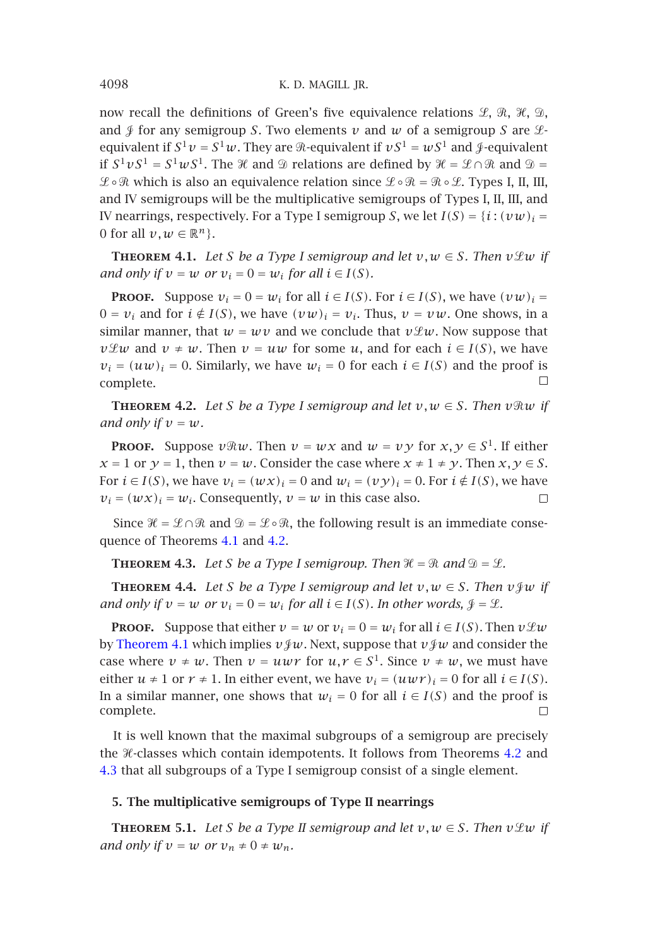now recall the definitions of Green's five equivalence relations  $\mathscr{L}, \; \mathscr{R}, \; \mathscr{X}, \; \mathscr{D},$ and  $\oint$  for any semigroup *S*. Two elements  $\nu$  and  $\nu$  of a semigroup *S* are  $\mathcal{L}$ equivalent if  $S^1 v = S^1 w$ . They are  $\Re$ -equivalent if  $vS^1 = wS^1$  and  $\Im$ -equivalent if  $S^1 v S^1 = S^1 w S^1$ . The *H* and  $\mathcal D$  relations are defined by  $\mathcal H = \mathcal L \cap \mathcal R$  and  $\mathcal D =$  $\mathscr{L}\circ\mathscr{R}$  which is also an equivalence relation since  $\mathscr{L}\circ\mathscr{R}=\mathscr{R}\circ\mathscr{L}.$  Types I, II, III, and IV semigroups will be the multiplicative semigroups of Types I, II, III, and IV nearrings, respectively. For a Type I semigroup *S*, we let  $I(S) = {i : (vw)_i =}$ 0 for all  $v, w \in \mathbb{R}^n$ .

<span id="page-13-2"></span>**THEOREM 4.1.** Let *S* be a Type I semigroup and let  $v, w \in S$ . Then  $v \mathcal{L}w$  if *and only if*  $v = w$  *or*  $v_i = 0 = w_i$  *for all*  $i \in I(S)$ *.* 

**PROOF.** Suppose  $v_i = 0 = w_i$  for all  $i \in I(S)$ . For  $i \in I(S)$ , we have  $(vw)_i =$  $0 = v_i$  and for  $i \notin I(S)$ , we have  $(vw)_i = v_i$ . Thus,  $v = vw$ . One shows, in a similar manner, that  $w = wv$  and we conclude that  $v \mathcal{L}w$ . Now suppose that *v* $\mathcal{L}w$  and *v* ≠ *w*. Then *v* = *uw* for some *u*, and for each *i* ∈ *I(S)*, we have  $v_i = (uw)_i = 0$ . Similarly, we have  $w_i = 0$  for each  $i \in I(S)$  and the proof is  $\Box$ complete.

<span id="page-13-5"></span><span id="page-13-3"></span>**THEOREM 4.2.** *Let S be a Type I semigroup and let*  $v, w \in S$ *. Then*  $v \Re w$  *if and only if*  $v = w$ *.* 

**PROOF.** Suppose  $v \Re w$ . Then  $v = wx$  and  $w = v \gamma$  for  $x, \gamma \in S^1$ . If either  $x = 1$  or  $y = 1$ , then  $y = w$ . Consider the case where  $x \neq 1 \neq y$ . Then  $x, y \in S$ . For  $i \in I(S)$ , we have  $v_i = (wx)_i = 0$  and  $w_i = (vy)_i = 0$ . For  $i \notin I(S)$ , we have  $v_i = (w \, x)_i = w_i$ . Consequently,  $v = w$  in this case also.  $\Box$ 

Since  $\mathcal{H} = \mathcal{L} \cap \mathcal{R}$  and  $\mathcal{D} = \mathcal{L} \circ \mathcal{R}$ , the following result is an immediate consequence of Theorems 4.1 and 4.2.

**THEOREM 4.3.** Let S be a Type I semigroup. Then  $\mathcal{H} = \mathcal{R}$  and  $\mathcal{D} = \mathcal{L}$ .

**THEOREM 4.4.** *Let S be a Type I semigroup and let*  $v, w \in S$ *. Then*  $v \notin w$  *if and only if*  $v = w$  *or*  $v_i = 0 = w_i$  *for all*  $i \in I(S)$ *[.](#page-13-2) In other words,*  $\mathcal{J} = \mathcal{L}$ *.* 

<span id="page-13-4"></span><span id="page-13-0"></span>**[Pr](#page-13-3)oof.** Suppose that either  $v = w$  or  $v_i = 0 = w_i$  for all  $i \in I(S)$ . Then  $v \mathcal{L} w$ by Theorem 4.1 which implies  $v \circ w$ . Next, suppose that  $v \circ w$  and consider the case where  $v \neq w$ . Then  $v = uwr$  for  $u, r \in S^1$ . Since  $v \neq w$ , we must have either  $u \neq 1$  or  $r \neq 1$ . In either event, we have  $v_i = (uwr)_i = 0$  for all  $i \in I(S)$ . In a similar manner, one shows that  $w_i = 0$  for all  $i \in I(S)$  and the proof is complete.  $\Box$ 

It is well known that the maximal subgroups of a semigroup are precisely the  $H$ -classes which contain idempotents. It follows from Theorems 4.2 and 4.3 that all subgroups of a Type I semigroup consist of a single element.

# **5. The multiplicative semigroups of Type II nearrings**

**THEOREM** 5.1. Let *S* be a Type II semigroup and let  $v, w \in S$ . Then  $v \mathcal{L}w$  if *and only if*  $v = w$  *or*  $v_n \neq 0 \neq w_n$ *.* 

<span id="page-13-1"></span>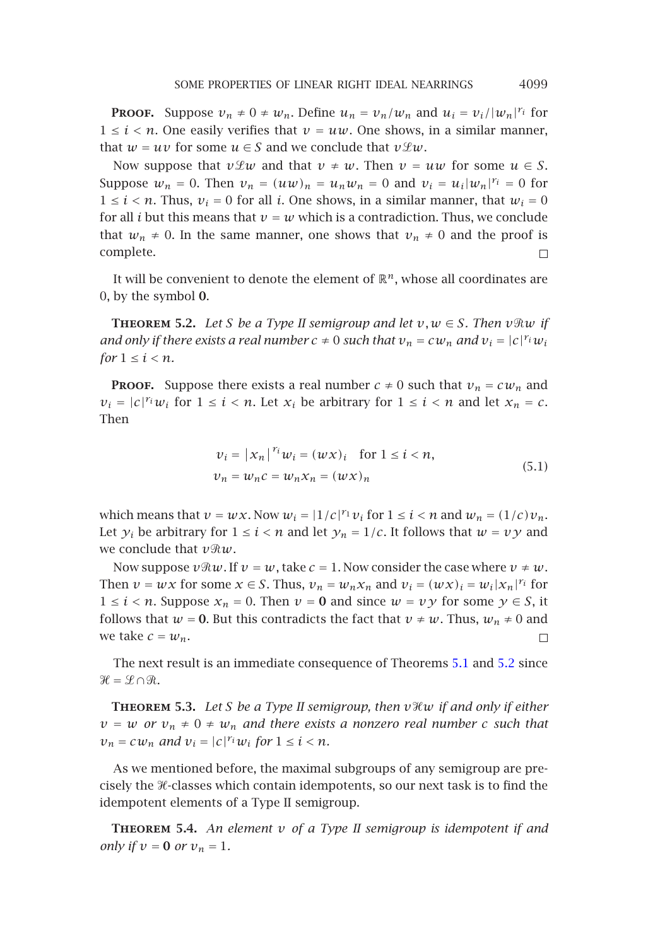**PROOF.** Suppose  $v_n \neq 0 \neq w_n$ . Define  $u_n = v_n/w_n$  and  $u_i = v_i/|w_n|^{r_i}$  for  $1 \leq i \leq n$ . One easily verifies that  $v = uw$ . One shows, in a similar manner, that  $w = uv$  for some  $u \in S$  and we conclude that  $v \mathcal{L}w$ .

<span id="page-14-0"></span>Now suppose that  $v \mathcal{L}w$  and that  $v \neq w$ . Then  $v = uw$  for some  $u \in S$ . Suppose  $w_n = 0$ . Then  $v_n = (uw)_n = u_nw_n = 0$  and  $v_i = u_i|w_n|^{r_i} = 0$  for  $1 \leq i \leq n$ . Thus,  $v_i = 0$  for all *i*. One shows, in a similar manner, that  $w_i = 0$ for all *i* but this means that  $v = w$  which is a contradiction. Thus, we conclude that  $w_n \neq 0$ . In the same manner, one shows that  $v_n \neq 0$  and the proof is complete.  $\Box$ 

It will be convenient to denote the element of  $\mathbb{R}^n$ , whose all coordinates are 0, by the symbol **0**.

**THEOREM** 5.2. *Let S be a Type II semigroup and let*  $v, w \in S$ *. Then*  $v \Re w$  *if and only if there exists a real number*  $c \neq 0$  *such that*  $v_n = c w_n$  *and*  $v_i = |c|^{r_i} w_i$ *for*  $1 \leq i \leq n$ *.* 

**PROOF.** Suppose there exists a real number  $c \neq 0$  such that  $v_n = c w_n$  and  $v_i = |c|^{r_i} w_i$  for  $1 \le i < n$ . Let  $x_i$  be arbitrary for  $1 \le i < n$  and let  $x_n = c$ . Then

$$
\nu_i = |x_n|^{r_i} w_i = (w \times)_i \quad \text{for } 1 \le i < n,
$$
\n
$$
\nu_n = w_n c = w_n x_n = (w \times)_n \tag{5.1}
$$

<span id="page-14-1"></span>which means that  $v = wx$ . Now  $w_i = |1/c|^r v_i$  $w_i = |1/c|^r v_i$  $w_i = |1/c|^r v_i$  for  $1 \le i < n$  a[nd](#page-13-4)  $w_n = (1/c)v_n$ . Let  $y_i$  be arbitrary for  $1 \le i < n$  and let  $y_n = 1/c$ . It follows that  $w = vy$  and we conclude that *vw*.

Now suppose  $v \Re w$ . If  $v = w$ , take  $c = 1$ . Now consider the case where  $v \neq w$ . Then  $v = wx$  for some  $x \in S$ . Thus,  $v_n = w_n x_n$  and  $v_i = (wx)_i = w_i |x_n|^{r_i}$  for 1 ≤ *i* < *n*. Suppose  $x_n$  = 0. Then  $v$  = 0 and since  $w = v \gamma$  for some  $\gamma \in S$ , it follows that  $w = 0$ . But this contradicts the fact that  $v \neq w$ . Thus,  $w_n \neq 0$  and we take  $c = w_n$ .  $\Box$ 

<span id="page-14-2"></span>The next result is an immediate consequence of Theorems 5.1 and 5.2 since  $\mathscr{H} = \mathscr{L} \cap \mathscr{R}$ .

**Theorem 5.3.** *Let S be a Type II semigroup, then vw if and only if either*  $v = w$  *or*  $v_n \neq 0 \neq w_n$  *and there exists a nonzero real number c such that*  $v_n = c w_n$  *and*  $v_i = |c|^r_i w_i$  *for*  $1 \le i \le n$ *.* 

As we mentioned before, the maximal subgroups of any semigroup are precisely the  $\mathcal H$ -classes which contain idempotents, so our next task is to find the idempotent elements of a Type II semigroup.

**Theorem 5.4.** *An element v of a Type II semigroup is idempotent if and only if*  $v = 0$  *or*  $v_n = 1$ *.*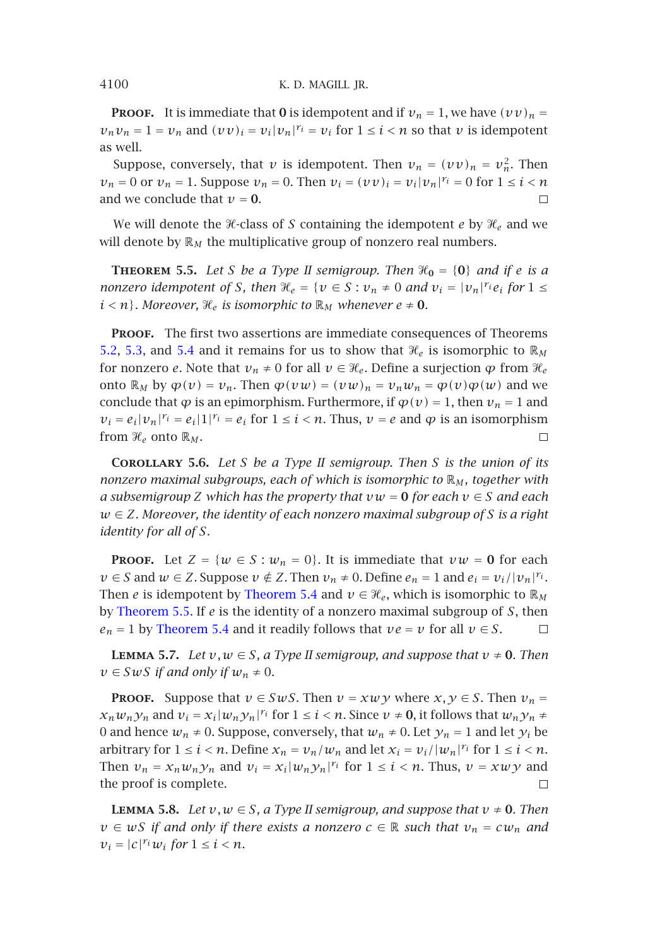**PROOF.** It is immediate that **0** is idempotent and if  $v_n = 1$ , we have  $(vv)_n =$  $v_n v_n = 1 = v_n$  and  $(vv)_i = v_i|v_n|^{\gamma_i} = v_i$  for  $1 \le i \le n$  so that *v* is idempotent as well.

Suppose, conversely, that *v* is idempotent. Then  $v_n = (vv)_n = v_n^2$ . Then  $v_n = 0$  or  $v_n = 1$ . Suppose  $v_n = 0$ . Then  $v_i = (vv)_i = v_i|v_n|^{r_i} = 0$  for  $1 \le i \le n$ [and](#page-14-0) [we](#page-14-1) concl[ude](#page-14-2) that  $v = 0$ .  $\Box$ 

We will denote the *H*-class of *S* containing the idempotent *e* by  $\mathcal{H}_e$  and we will denote by  $\mathbb{R}_M$  the multiplicative group of nonzero real numbers.

<span id="page-15-3"></span>**THEOREM** 5.5. Let *S* be a Type II semigroup. Then  $\mathcal{H}_0 = \{0\}$  and if *e* is a *nonzero idempotent of S*, then  $\mathcal{H}_e = \{v \in S : v_n \neq 0 \text{ and } v_i = |v_n|^{r_i} e_i \text{ for } 1 \leq i \leq n\}$  $i < n$ *}. Moreover,*  $\mathcal{H}_e$  *is isomorphic to*  $\mathbb{R}_M$  *whenever*  $e \neq 0$ *.* 

**PROOF.** The first two assertions are immediate consequences of Theorems 5.2, 5.3, and 5.4 and it remains for us to show that  $\mathcal{H}_e$  is isomorphic to  $\mathbb{R}_M$ for nonzero *e*. Note that  $v_n \neq 0$  for all  $v \in \mathcal{H}_e$ . Define a surjection  $\varphi$  from  $\mathcal{H}_e$ onto  $\mathbb{R}_M$  by  $\varphi(v) = v_n$ . Then  $\varphi(vw) = (vw)_n = v_nw_n = \varphi(v)\varphi(w)$  and we conclude that  $\varphi$  is an epimorphism. Furthermore, if  $\varphi(v) = 1$ , then  $v_n = 1$  and  $v_i = e_i|v_n|^{r_i} = e_i|1|^{r_i} = e_i$  for  $1 \le i \le n$ . Thus,  $v = e$  and  $\varphi$  is an isomorphism from  $\mathcal{H}_e$  onto  $\mathbb{R}_M$ .  $\Box$ 

<span id="page-15-1"></span>**[Corollary](#page-15-0) 5.6.** *Let S be a Type II semigroup. Then S is the union of its nonzero [maximal subgr](#page-14-2)oups, each of which is isomorphic to* R*<sup>M</sup> , together with a subsemigroup Z which has the property that*  $vw = 0$  *for each*  $v \in S$  *and each w* ∈ *Z. Moreover, the identity of each nonzero maximal subgroup of S is a right identity for all of S.*

**PROOF.** Let  $Z = \{w \in S : w_n = 0\}$ . It is immediate that  $vw = 0$  for each *v* ∈ *S* and *w* ∈ *Z*. Suppose *v* ∉ *Z*. Then *v*<sub>*n*</sub> ≠ 0. Define  $e_n = 1$  and  $e_i = v_i / |v_n|^{r_i}$ . Then *e* is idempotent by Theorem 5.4 and  $v \in \mathcal{H}_e$ , which is isomorphic to  $\mathbb{R}_M$ by Theorem 5.5. If *e* is the identity of a nonzero maximal subgroup of *S*, then  $e_n = 1$  by Theorem 5.4 and it readily follows that  $ve = v$  for all  $v \in S$ .  $\Box$ 

<span id="page-15-2"></span>**LEMMA 5.7.** *Let*  $v, w \in S$ , a Type II semigroup, and suppose that  $v \neq 0$ *. Then*  $v \in SwS$  *if and only if*  $w_n \neq 0$ *.* 

**PROOF.** Suppose that  $v \in SwS$ . Then  $v = xwy$  where  $x, y \in S$ . Then  $v_n =$  $x_n w_n y_n$  and  $v_i = x_i |w_n y_n|^{r_i}$  for  $1 \le i < n$ . Since  $v \ne 0$ , it follows that  $w_n y_n \ne$ 0 and hence  $w_n \neq 0$ . Suppose, conversely, that  $w_n \neq 0$ . Let  $y_n = 1$  and let  $y_i$  be arbitrary for  $1 \le i < n$ . Define  $x_n = v_n/w_n$  and let  $x_i = v_i/|w_n|^{r_i}$  for  $1 \le i < n$ . Then  $v_n = x_n w_n y_n$  and  $v_i = x_i |w_n y_n|^{r_i}$  for  $1 \le i \le n$ . Thus,  $v = x w y$  and the proof is complete.  $\Box$ 

**LEMMA 5.8.** *Let*  $v, w \in S$ *, a Type II semigroup, and suppose that*  $v \neq 0$ *. Then*  $v \in WS$  *if and only if there exists a nonzero*  $c \in \mathbb{R}$  *such that*  $v_n = cw_n$  *and*  $v_i = |c|^r_i w_i$  *for*  $1 \leq i \leq n$ *.* 

<span id="page-15-0"></span>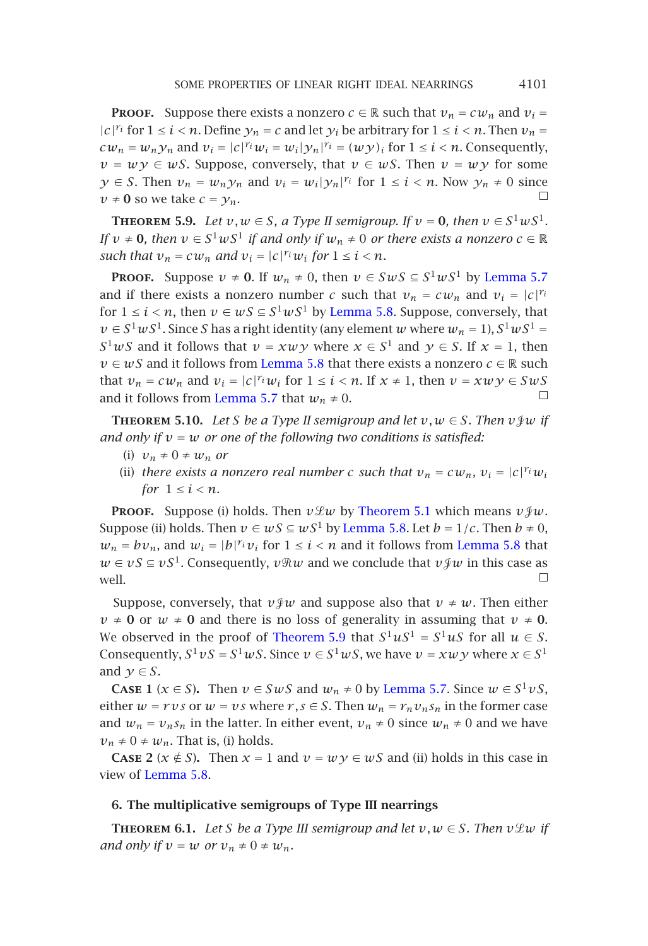**PROOF.** Suppose there exists a nonzero  $c \in \mathbb{R}$  such that  $v_n = c w_n$  and  $v_i = c$  $|c|^{r_i}$  for  $1 \le i < n$ . Define  $y_n = c$  and let  $y_i$  be arbitrary for  $1 \le i < n$ [. Then](#page-15-1)  $v_n =$  $cw_n = w_n y_n$  and  $v_i = |c|^r w_i = w_i |y_n|^r = (w y)_i$  for  $1 \le i \le n$ . Consequently,  $v = w y \in wS$  $v = w y \in wS$ . Suppose, conversely, that  $v \in wS$ . Then  $v = w y$  for some *y* ∈ *S*. Then  $v_n = w_n y_n$  and  $v_i = w_i |y_n|^{r_i}$  for  $1 ≤ i < n$ . Now  $y_n ≠ 0$  since  $v \neq 0$  so we take  $c = y_n$ .  $\Box$ 

**THEOREM** 5.9. Let  $v, w \in S$  $v, w \in S$  $v, w \in S$ , [a](#page-15-2) [Type](#page-15-2) [I](#page-15-2)I semigroup. If  $v = 0$ , then  $v \in S^1 w S^1$ . *If*  $v \neq 0$ *, then*  $v \in S^1 w S^1$  *if and only if*  $w_n \neq 0$  *or there exists a nonzero*  $c \in \mathbb{R}$ *such that*  $v_n = c w_n$  *[and](#page-15-1)*  $v_i = |c|^{r_i} w_i$  *for*  $1 \le i \le n$ *.* 

**PROOF.** Suppose  $v \neq 0$ . If  $w_n \neq 0$ , then  $v \in SwS \subseteq S^1wS^1$  by Lemma 5.7 and if there exists a nonzero number *c* such that  $v_n = cw_n$  and  $v_i = |c|^{r_i}$ for  $1 \le i < n$ , then  $v \in wS \subseteq S^1 wS^1$  by Lemma 5.8. Suppose, conversely, that  $v \in S^1 w S^1$ . Since *S* has a right identity (any element *w* where  $w_n = 1$ ),  $S^1 w S^1 =$  $S^1 wS$  and it follows that  $v = x w \gamma$  where  $x \in S^1$  and  $\gamma \in S$ . If  $x = 1$ , then *v* ∈ *wS* and it follows from Lemma 5.8 that [there exists a](#page-13-4) nonzero *c* ∈ R such that  $v_n = c w_n$  and  $v_i = |c|^{r_i} w_i$  for  $1 \le i < n$ . If  $x \ne 1$ , then  $v = x w y \in S w S$  $\Box$ and it follows from Lemma 5.7 that  $w_n \neq 0$ .

**THEOREM 5.10.** *Let S be a Type II semigroup and let*  $v, w \in S$ *. Then*  $v \notin w$  *if and only if*  $v = w$  *or one of the following two conditions is satisfied:* 

- (i)  $v_n \neq 0 \neq w_n$  *or*
- (ii) *there exists a nonzero real number c such that*  $v_n = c w_n$ *,*  $v_i = |c|^{r_i} w_i$ *for*  $1 \leq i \leq n$ *.*

**PROOF.** Suppose (i) holds. Then  $v \mathcal{L} w$  by Theorem 5.1 which means  $v \mathcal{L} w$ . Suppose (ii) holds. Then  $v \in wS \subseteq wS^1$  by Lemma 5.8. Let  $b = 1/c$ . Then  $b \neq 0$ ,  $w_n = bv_n$ , and  $w_i = |b|^{r_i} v_i$  for  $1 \le i < n$  and it [follows](#page-15-1) [from](#page-15-1) Lemma 5.8 that *w* ∈ *vS* ⊆ *vS*<sup>1</sup>. Consequently, *v* $\Re w$  and we conclude that *v* $\oint w$  in this case as  $\Box$ well.

<span id="page-16-0"></span>Suppose, conversely, that  $v \notin w$  and suppose also that  $v \neq w$ . Then either  $v \neq 0$  or  $w \neq 0$  $w \neq 0$  and there is no loss of generality in assuming that  $v \neq 0$ . We observed in the proof of Theorem 5.9 that  $S^1 uS^1 = S^1 uS$  for all  $u \in S$ . Consequently,  $S^1 vS = S^1 wS$ . Since  $v \in S^1 wS$ , we have  $v = x w y$  where  $x \in S^1$ and  $y \in S$ .

<span id="page-16-1"></span>**CASE 1** ( $x \in S$ ). Then  $v \in SwS$  and  $w_n \neq 0$  by Lemma 5.7. Since  $w \in S^1 vS$ , either  $w = rvs$  or  $w = vs$  where  $r, s \in S$ . Then  $w_n = r_n v_n s_n$  in the former case and  $w_n = v_n s_n$  in the latter. In either event,  $v_n \neq 0$  since  $w_n \neq 0$  and we have  $v_n \neq 0 \neq w_n$ . That is, (i) holds.

**CASE** 2 ( $x \notin S$ ). Then  $x = 1$  and  $v = w \circ w$  and (ii) holds in this case in view of Lemma 5.8.

# **6. The multiplicative semigroups of Type III nearrings**

**THEOREM** 6.1. Let *S* be a Type III semigroup and let  $v, w \in S$ . Then  $v \mathcal{L}w$  if *and only if*  $v = w$  *or*  $v_n \neq 0 \neq w_n$ *.*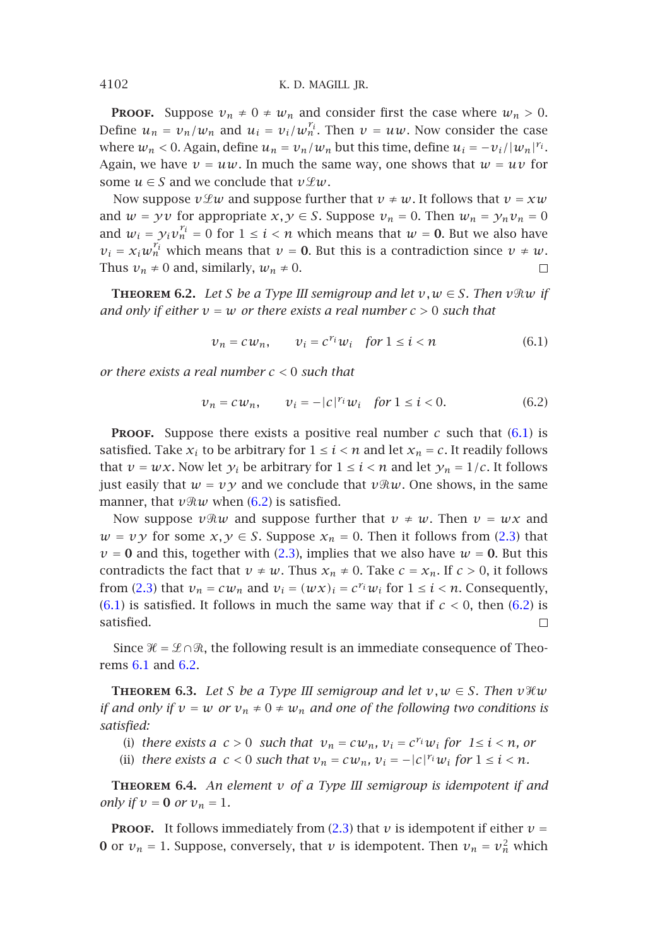<span id="page-17-2"></span>**PROOF.** Suppose  $v_n \neq 0 \neq w_n$  and consider first the case where  $w_n > 0$ . Define  $u_n = v_n/w_n$  and  $u_i = v_i/w_n^{r_i}$ . Then  $v = uw$ . Now consider the case where  $w_n < 0$ . Again, define  $u_n = v_n/w_n$  but this time, define  $u_i = -v_i/|w_n|^{r_i}$ . Again, we have  $v = uw$ . In much the same way, one shows that  $w = uv$  for some  $u \in S$  and we conclude that  $v \mathcal{L}w$ .

Now suppose  $v \mathcal{L} w$  and suppose further that  $v \neq w$ . It follows that  $v = xw$ and  $w = yv$  for appropriate  $x, y \in S$ . Suppose  $v_n = 0$ . Then  $w_n = y_n v_n = 0$ and  $w_i = y_i v_n^{r_i} = 0$  for  $1 \leq i < n$  which means that  $w = 0$ . But we also have  $v_i = x_i w_n^{r_i}$  which means that  $v = 0$ . But this is a contradiction since  $v \neq w$ . Thus  $v_n \neq 0$  and, similarly,  $w_n \neq 0$ .  $\Box$ 

**THEOREM 6.2.** Let *S* be a Type III semigroup and let  $v, w \in S$ . Then  $v \Re w$  if *and only if either*  $v = w$  *or there exists a real number*  $c > 0$  *such that* 

<span id="page-17-1"></span><span id="page-17-0"></span>
$$
\nu_n = c w_n, \qquad \nu_i = c^{r_i} w_i \quad \text{for } 1 \le i < n \tag{6.1}
$$

*or there exists a real number c <* 0 *such that*

$$
v_n = cw_n
$$
,  $v_i = -|c|^{r_i}w_i$  for  $1 \le i < 0$ . (6.2)

**PROOF.** Suppose there exists a positive real number  $c$  such that (6.1) is [satis](#page-17-0)fied. Take  $x_i$  to be arbitrary for  $1 \le i < n$  and let  $x_n = c$ . It readily [follo](#page-17-1)ws that  $v = wx$ . Now let  $y_i$  be arbitrary for  $1 \le i < n$  and let  $y_n = 1/c$ . It follows just easily that  $w = v \gamma$  and we conclude that  $v \Re w$ . One shows, in the same manner, that  $v \Re w$  when (6.2) is satisfied.

<span id="page-17-3"></span>No[w](#page-16-1) [su](#page-16-1)pp[ose](#page-17-2)  $v \Re w$  and suppose further that  $v \neq w$ . Then  $v = wx$  and  $w = vy$  for some  $x, y \in S$ . Suppose  $x_n = 0$ . Then it follows from (2.3) that  $\nu = 0$  and this, together with (2.3), implies that we also have  $\nu = 0$ . But this contradicts the fact that  $v \neq w$ . Thus  $x_n \neq 0$ . Take  $c = x_n$ . If  $c > 0$ , it follows from (2.3) that  $v_n = c w_n$  and  $v_i = (w \times)_{i} = c^{r_i} w_i$  for  $1 \le i \le n$ . Consequently,  $(6.1)$  is satisfied. It follows in much the same way that if  $c < 0$ , then  $(6.2)$  is satisfied.  $\Box$ 

<span id="page-17-4"></span>Since  $\mathcal{H} = \mathcal{L} \cap \mathcal{R}$ , the following result is an immediate consequence of Theorems 6.1 and 6.2.

**THEOREM** 6.3. Let *S* be a Type III semigroup and let  $v, w \in S$ . Then  $v \mathcal{H} w$ *if and only if*  $v = w$  *or*  $v_n \neq 0 \neq w_n$  *and one of the following two conditions is satisfied:*

- (i) *there exists a*  $c > 0$  *such that*  $v_n = cw_n$ ,  $v_i = c^{r_i}w_i$  for  $1 \le i < n$ , or
- (ii) *there exists a*  $c < 0$  *such that*  $v_n = cw_n$ ,  $v_i = -|c|^r w_i$  *for*  $1 \le i < n$ *.*

**Theorem 6.4.** *An element v of a Type III semigroup is idempotent if and only if*  $v = 0$  *or*  $v_n = 1$ *.* 

**PROOF.** It follows immediately from (2.3) that  $\nu$  is idempotent if either  $\nu$  = **0** or  $v_n = 1$ . Suppose, conversely, that *v* is idempotent. Then  $v_n = v_n^2$  which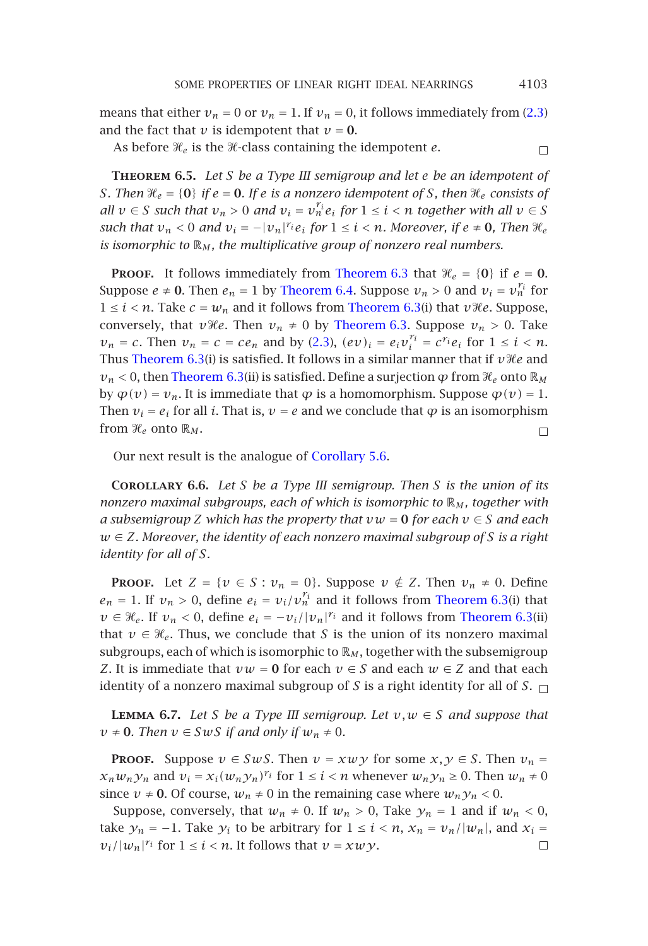$\Box$ 

<span id="page-18-2"></span>means that either  $v_n = 0$  or  $v_n = 1$ . If  $v_n = 0$ , it follows immediately from (2.3) and the fact that  $\nu$  is idempotent that  $\nu = 0$ .

As before  $\mathcal{H}_e$  is [the](#page-17-4)  $\mathcal{H}_e$ -class [containing](#page-17-4) the [idempoten](#page-17-3)t  $e$ .

**Theorem 6.5.** *Let S be a Type III se[migroup and le](#page-17-3)t e be an idempotent of S.* Then  $\mathcal{H}_e = \{0\}$  *if*  $e = 0$ *. If*  $e$  *is a no[nzer](#page-1-1)o idempotent of S, then*  $\mathcal{H}_e$  *consists of all*  $v \in S$  *[such that](#page-17-3)*  $v_n > 0$  *and*  $v_i = v_n^{r_i} e_i$  for  $1 \leq i < n$  together with all  $v \in S$ *such that*  $v_n < 0$  *[and](#page-17-3)*  $v_i = -|v_n|^r e_i$  *for*  $1 \le i < n$ *. Moreover, if*  $e \ne 0$ *, Then*  $\mathcal{H}_e$ *is isomorphic to* R*<sup>M</sup> , the multiplicative group of nonzero real numbers.*

**PROOF.** It follows immediately from Theorem 6.3 that  $\mathcal{H}_e = \{0\}$  if  $e = 0$ . Suppose  $e \neq 0$ . Then  $e_n = 1$  by Theorem 6.4. Suppose  $v_n > 0$  and  $v_i = v_n^{r_i}$  for 1 ≤ *i* < *n*. Take  $c = w_n$  and it follows from [Theore](#page-15-3)m 6.3(i) that *v*<sup>*H*</sup>*e*. Suppose, conversely, that *v*<sup>*He*</sup>. Then  $v_n \neq 0$  by Theorem 6.3. Suppose  $v_n > 0$ . Take  $v_n = c$ . Then  $v_n = c = ce_n$  and by (2.3),  $(ev)_i = e_i v_i^{r_i} = c^{r_i} e_i$  for  $1 \le i < n$ . Thus Theorem 6.3(i) is satisfied. It follows in a similar manner that if  $v$ *He* and  $v_n$  < 0, then Theorem 6.3(ii) is satisfied. Define a surjection  $\varphi$  from  $\mathcal{H}_e$  onto  $\mathbb{R}_M$ by  $\varphi(v) = v_n$ . It is immediate that  $\varphi$  is a homomorphism. Suppose  $\varphi(v) = 1$ . Then  $v_i = e_i$  for all *i*. That is,  $v = e$  and we conclude that  $\varphi$  is an isomorphism from  $\mathcal{H}_e$  onto  $\mathbb{R}_M$ .  $\Box$ 

Our next result is the analogue of Corollary 5.6.

**Corollary 6.6.** *Let S be a Type III semigroup. Then S is the union of its nonzero maximal subgroups, each of which is isomorphic to*  $\mathbb{R}_M$ *, together with a subsemigroup Z which has the property that*  $vw = 0$  *for each*  $v \in S$  *and each w* ∈ *Z. Moreover, the identity of each nonzero maximal subgroup of S is a right identity for all of S.*

<span id="page-18-1"></span>**PROOF.** Let  $Z = \{v \in S : v_n = 0\}$ . Suppose  $v \notin Z$ . Then  $v_n \neq 0$ . Define  $e_n = 1$ . If  $v_n > 0$ , define  $e_i = v_i/v_n^{r_i}$  and it follows from Theorem 6.3(i) that *v* ∈  $\mathcal{H}_e$ . If  $v_n < 0$ , define  $e_i = -v_i/|v_n|^{r_i}$  and it follows from Theorem 6.3(ii) that  $v \in \mathcal{H}_e$ . Thus, we conclude that *S* is the union of its nonzero maximal subgroups, each of which is isomorphic to  $\mathbb{R}_M$ , together with the subsemigroup *Z*. It is immediate that  $vw = 0$  for each  $v \in S$  and each  $w \in Z$  and that each identity of a nonzero maximal subgroup of *S* is a right identity for all of *S*.

<span id="page-18-0"></span>**LEMMA** 6.7. Let *S* be a Type III semigroup. Let  $v, w \in S$  and suppose that  $v \neq 0$ *. Then*  $v \in SwS$  *if and only if*  $w_n \neq 0$ *.* 

**PROOF.** Suppose  $v \in SwS$ . Then  $v = xwy$  for some  $x, y \in S$ . Then  $v_n =$  $x_n w_n y_n$  and  $v_i = x_i (w_n y_n)^{r_i}$  for  $1 \le i < n$  whenever  $w_n y_n \ge 0$ . Then  $w_n \ne 0$ since  $v \neq 0$ . Of course,  $w_n \neq 0$  in the remaining case where  $w_n y_n < 0$ .

Suppose, conversely, that  $w_n \neq 0$ . If  $w_n > 0$ , Take  $y_n = 1$  and if  $w_n < 0$ , take  $y_n = -1$ . Take  $y_i$  to be arbitrary for  $1 \le i \le n$ ,  $x_n = v_n/|w_n|$ , and  $x_i =$  $v_i/|w_n|^{r_i}$  for  $1 \leq i < n$ . It follows that  $v = xw y$ .  $\Box$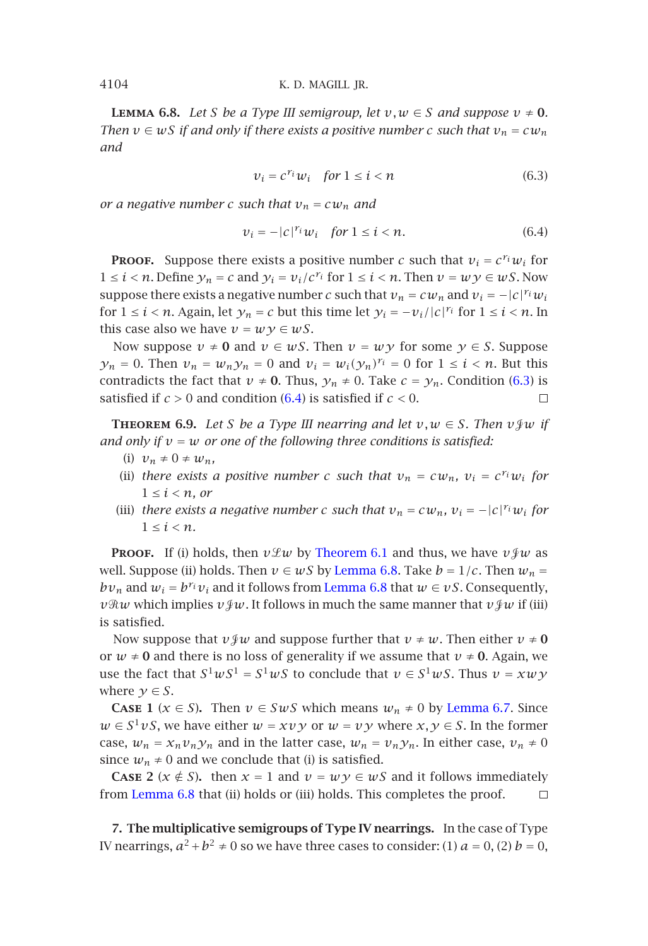**LEMMA 6.8.** *Let S be a Type III semigroup, let*  $v, w \in S$  *and suppose*  $v \neq 0$ *. Then*  $v \in wS$  *if and only if there exists a positive number c such that*  $v_n = cw_n$ *and*

<span id="page-19-1"></span>
$$
\nu_i = c^{r_i} \nu_i \quad \text{for } 1 \le i < n \tag{6.3}
$$

*or a negative number c such that*  $v_n = c w_n$  *and* 

$$
v_i = -|c|^{r_i} w_i \quad \text{for } 1 \le i < n. \tag{6.4}
$$

**PROOF.** Suppose there exists a positive number *c* such that  $v_i = c^{r_i}w_i$  for 1 ≤ *i* < *n*. Define  $y_n = c$  and  $y_i = v_i/c^{r_i}$  for  $1 ≤ i < n$ . Then  $v = w y ∈ w S$ . Now suppose there exists a negative number *c* such that  $v_n = cw_n$  and  $v_i = -|c|^{r_i}w_i$ for  $1 \le i < n$ . Again, let  $y_n = c$  but this time let  $y_i = -v_i/|c|^{r_i}$  for  $1 \le i < n$ . In this case also we have  $v = w y \in w S$ .

Now suppose  $v \neq 0$  and  $v \in wS$ . Then  $v = w \cdot y$  for some  $y \in S$ . Suppose  $y_n = 0$ . Then  $v_n = w_n y_n = 0$  and  $v_i = w_i(y_n)^{r_i} = 0$  for  $1 \le i \le n$ . But this contradicts the fact that  $v \neq 0$ . Thus,  $y_n \neq 0$ . Take  $c = y_n$ . Condition (6.3) is satisfied if  $c > 0$  and condition (6.4) i[s satisfied if](#page-16-1)  $c < 0$ .  $\Box$ 

**THEOREM** 6.9. Let *S* be a Type III ne[arring and l](#page-18-0)et  $v, w \in S$ . Then  $v \notin w$  if *and only if*  $v = w$  *or one of the followi[ng](#page-18-0) [three](#page-18-0) [con](#page-18-0)ditions is satisfied:* 

- (i)  $v_n \neq 0 \neq w_n$
- (ii) *there exists a positive number c such that*  $v_n = c w_n$ ,  $v_i = c^{r_i} w_i$  *for*  $1 \leq i \leq n$ , or
- (iii) *there exists a negative number c such that*  $v_n = cw_n$ ,  $v_i = -|c|^{r_i}w_i$  *for*  $1 \leq i \leq n$ .

**PROOF.** If (i) holds, then  $v \mathcal{L} w$  by Theorem 6.1 and thus[, we have](#page-18-1)  $v \mathcal{L} w$  as well. Suppose (ii) holds. Then  $v \in wS$  by Lemma 6.8. Take  $b = 1/c$ . Then  $w_n =$ *bv<sub>n</sub>* and  $w_i = b^{r_i}v_i$  and it follows from Lemma 6.8 that  $w \in vS$ . Consequently,  $v$ *Rw* which implies  $v$  *yw*. It follows in much the same manner that  $v$  *yw* if (iii) is satisfied.

<span id="page-19-0"></span>No[w suppose t](#page-18-0)hat  $v \notin w$  and suppose further that  $v \neq w$ . Then either  $v \neq 0$ or  $w \neq 0$  and there is no loss of generality if we assume that  $v \neq 0$ . Again, we use the fact that  $S^1 w S^1 = S^1 w S$  to conclude that  $v \in S^1 w S$ . Thus  $v = x w y$ where  $\gamma \in S$ .

**CASE 1** ( $x \in S$ ). Then  $v \in SwS$  which means  $w_n \neq 0$  by Lemma 6.7. Since *w* ∈ *S*<sup>1</sup>*vS*, we have either *w* = *xvy* or *w* = *vy* where *x*, *y* ∈ *S*. In the former case,  $w_n = x_n v_n y_n$  and in the latter case,  $w_n = v_n y_n$ . In either case,  $v_n \neq 0$ since  $w_n \neq 0$  and we conclude that (i) is satisfied.

**CASE 2** ( $x \notin S$ ). then  $x = 1$  and  $v = w \circ y \in wS$  and it follows immediately from Lemma 6.8 that (ii) holds or (iii) holds. This completes the proof.  $\Box$ 

**7. The multiplicative semigroups of Type IV nearrings.** In the case of Type IV nearrings,  $a^2 + b^2 \neq 0$  so we have three cases to consider: (1)  $a = 0$ , (2)  $b = 0$ ,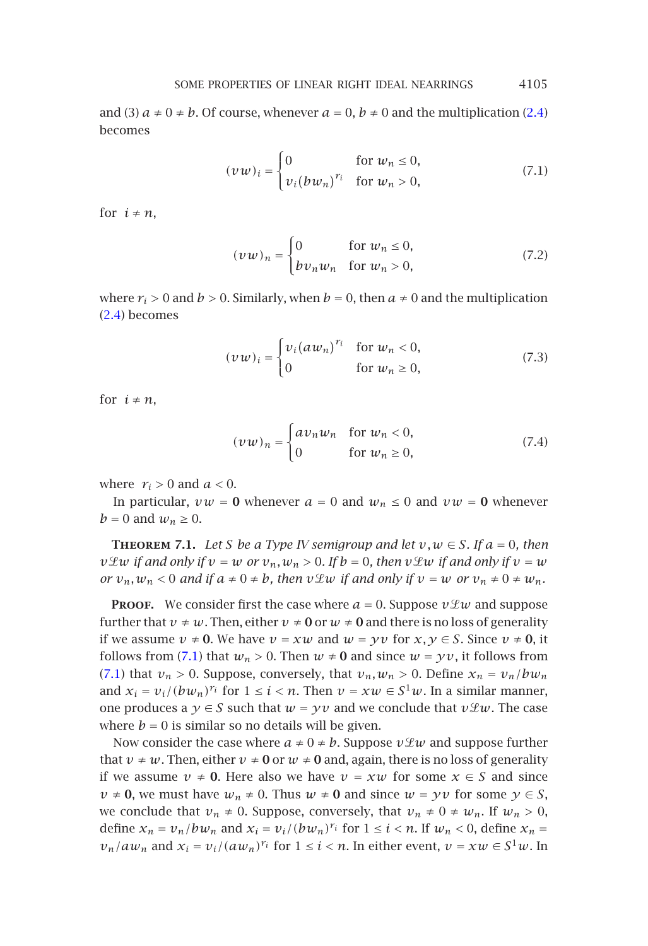and (3)  $a \neq 0 \neq b$ . Of course, whenever  $a = 0$ ,  $b \neq 0$  and the multiplication (2.4) becomes

<span id="page-20-0"></span>
$$
(\nu w)_i = \begin{cases} 0 & \text{for } w_n \le 0, \\ v_i (b w_n)^{r_i} & \text{for } w_n > 0, \end{cases}
$$
 (7.1)

for  $i \neq n$ ,

$$
(\nu w)_n = \begin{cases} 0 & \text{for } w_n \le 0, \\ bv_n w_n & \text{for } w_n > 0, \end{cases}
$$
 (7.2)

where  $r_i > 0$  and  $b > 0$ . Similarly, when  $b = 0$ , then  $a \neq 0$  and the multiplication (2.4) becomes

$$
(\nu w)_i = \begin{cases} v_i (a w_n)^{r_i} & \text{for } w_n < 0, \\ 0 & \text{for } w_n \ge 0, \end{cases}
$$
 (7.3)

<span id="page-20-1"></span>for  $i \neq n$ ,

$$
(\nu w)_n = \begin{cases} av_n w_n & \text{for } w_n < 0, \\ 0 & \text{for } w_n \ge 0, \end{cases}
$$
 (7.4)

where  $r_i > 0$  and  $a < 0$ .

In particul[ar,](#page-20-0)  $vw = 0$  whenever  $a = 0$  and  $w_n \le 0$  and  $vw = 0$  whenever  $b = 0$  $b = 0$  $b = 0$  and  $w_n \geq 0$ .

**THEOREM 7.1.** Let *S* be a Type *IV* semigroup and let  $v, w \in S$ . If  $a = 0$ , then *v* $\mathcal{L}w$  *if and only if*  $v = w$  *or*  $v_n, w_n > 0$ *. If*  $b = 0$ *, then*  $v \mathcal{L}w$  *if and only if*  $v = w$ *or*  $v_n, w_n < 0$  *and if*  $a \neq 0 \neq b$ *, then*  $v \mathcal{L}w$  *if and only if*  $v = w$  *or*  $v_n \neq 0 \neq w_n$ *.* 

**PROOF.** We consider first the case where  $a = 0$ . Suppose  $v \mathcal{L} w$  and suppose further that  $v \neq w$ . Then, either  $v \neq 0$  or  $w \neq 0$  and there is no loss of generality if we assume  $v \neq 0$ . We have  $v = xw$  and  $w = yv$  for  $x, y \in S$ . Since  $v \neq 0$ , it follows from (7.1) that  $w_n > 0$ . Then  $w \neq 0$  and since  $w = yv$ , it follows from (7.1) that  $v_n > 0$ . Suppose, conversely, that  $v_n, w_n > 0$ . Define  $x_n = v_n/bw_n$ and  $x_i = v_i/(bw_n)^{r_i}$  for  $1 \le i < n$ . Then  $v = xw \in S^1w$ . In a similar manner, one produces a  $y \in S$  such that  $w = yv$  and we conclude that  $v \mathcal{L} w$ . The case where  $b = 0$  is similar so no details will be given.

Now consider the case where  $a \neq 0 \neq b$ . Suppose  $v \mathcal{L} w$  and suppose further that  $v \neq w$ . Then, either  $v \neq 0$  or  $w \neq 0$  and, again, there is no loss of generality if we assume *v* ≠ **0**. Here also we have *v* = *xw* for some *x* ∈ *S* and since  $v \neq 0$ , we must have  $w_n \neq 0$ . Thus  $w \neq 0$  and since  $w = yv$  for some  $y \in S$ , we conclude that  $v_n \neq 0$ . Suppose, conversely, that  $v_n \neq 0 \neq w_n$ . If  $w_n > 0$ , define  $x_n = v_n/bw_n$  and  $x_i = v_i/(bw_n)^{r_i}$  for  $1 \le i \le n$ . If  $w_n \le 0$ , define  $x_n =$  $v_n/aw_n$  and  $x_i = v_i/(aw_n)^{r_i}$  for  $1 \le i < n$ . In either event,  $v = xw \in S^1w$ . In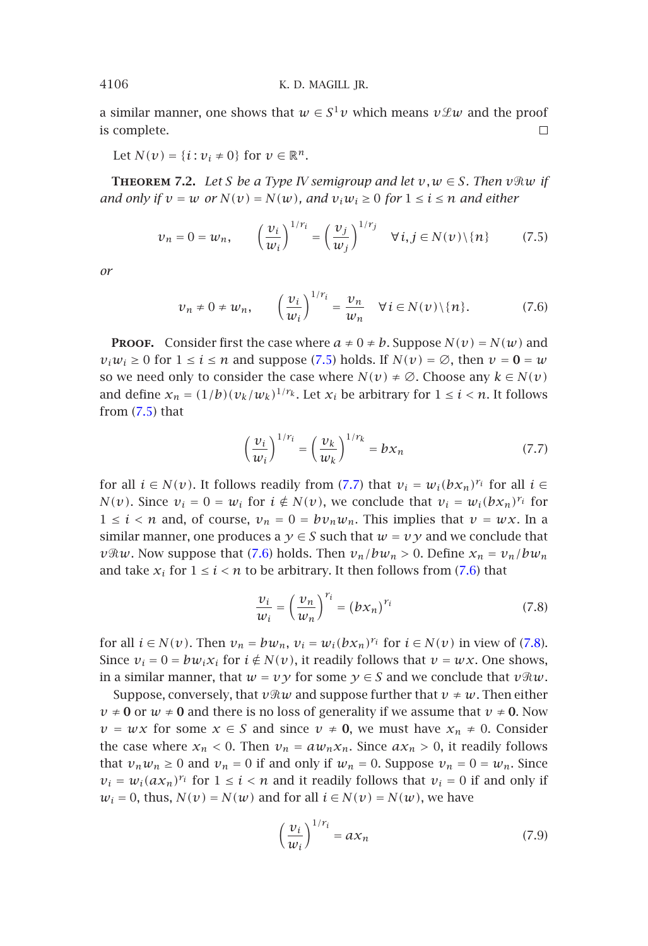a similar manner, one shows that  $w \in S^1 v$  which means  $v \mathcal{L} w$  and the proof is complete.  $\Box$ 

Let  $N(v) = \{i : v_i \neq 0\}$  for  $v \in \mathbb{R}^n$ .

**THEOREM** 7.2. Let *S* be a Type *IV* semigroup and let  $v, w \in S$ *. Then*  $v \Re w$  if *a[nd](#page-21-0) only if*  $v = w$  *or*  $N(v) = N(w)$ *, and*  $v_i w_i \ge 0$  *for*  $1 \le i \le n$  *and either* 

<span id="page-21-2"></span><span id="page-21-0"></span>
$$
\nu_n = 0 = \nu_n, \qquad \left(\frac{\nu_i}{\nu_i}\right)^{1/r_i} = \left(\frac{\nu_j}{\nu_j}\right)^{1/r_j} \quad \forall \, i, j \in N(\nu) \setminus \{n\} \tag{7.5}
$$

*or*

<span id="page-21-1"></span>
$$
\nu_n \neq 0 \neq \nu_n, \qquad \left(\frac{\nu_i}{\nu_i}\right)^{1/r_i} = \frac{\nu_n}{\nu_n} \quad \forall \, i \in N(\nu) \setminus \{n\}.\tag{7.6}
$$

**PROOF.** Consider first the case where  $a \neq 0 \neq b$ . Suppose  $N(v) = N(w)$  and  $v_i w_i \geq 0$  for  $1 \leq i \leq n$  and suppose (7.5) holds. If  $N(v) = \emptyset$ , then  $v = 0 = w$ so we need only to consider the case where  $N(v) \neq \emptyset$ . Choose any  $k \in N(v)$ and define  $x_n = (1/b)(v_k/w_k)^{1/\gamma_k}$ . Let  $x_i$  be arbitrary for  $1 \le i \le n$ . It follows from  $(7.5)$  that

<span id="page-21-3"></span>
$$
\left(\frac{\nu_i}{w_i}\right)^{1/r_i} = \left(\frac{\nu_k}{w_k}\right)^{1/r_k} = bx_n \tag{7.7}
$$

for all  $i \in N(v)$ . It follows readily from (7.7) that  $v_i = w_i(bx_n)^{r_i}$  for all  $i \in$ *N(v)*. Since  $v_i = 0 = w_i$  [fo](#page-21-3)r  $i \notin N(v)$ , we conclude that  $v_i = w_i(bx_n)^{r_i}$  for  $1 \leq i \leq n$  and, of course,  $v_n = 0 = bv_nw_n$ . This implies that  $v = wx$ . In a similar manner, one produces a  $\gamma \in S$  such that  $w = v \gamma$  and we conclude that *v* $\Re w$ . Now suppose that (7.6) holds. Then  $v_n/bw_n > 0$ . Define  $x_n = v_n/bw_n$ and take  $x_i$  for  $1 \le i < n$  to be arbitrary. It then follows from (7.6) that

$$
\frac{\nu_i}{w_i} = \left(\frac{\nu_n}{w_n}\right)^{r_i} = \left(bx_n\right)^{r_i} \tag{7.8}
$$

for all  $i \in N(v)$ . Then  $v_n = bw_n$ ,  $v_i = w_i(bx_n)^{r_i}$  for  $i \in N(v)$  in view of (7.8). Since  $v_i = 0 = bw_i x_i$  for  $i \notin N(v)$ , it readily follows that  $v = wx$ . One shows, in a similar manner, that  $w = v y$  for some  $y \in S$  and we conclude that  $v \Re w$ .

Suppose, conversely, that  $v \Re w$  and suppose further that  $v \neq w$ . Then either  $\nu \neq 0$  or  $\omega \neq 0$  and there is no loss of generality if we assume that  $\nu \neq 0$ . Now  $\nu = w \times$  for some  $x \in S$  and since  $v \neq 0$ , we must have  $x_n \neq 0$ . Consider the case where  $x_n < 0$ . Then  $v_n = a w_n x_n$ . Since  $a x_n > 0$ , it readily follows that  $v_nw_n \ge 0$  and  $v_n = 0$  if and only if  $w_n = 0$ . Suppose  $v_n = 0 = w_n$ . Since  $v_i = w_i(ax_n)^{r_i}$  for  $1 \le i < n$  and it readily follows that  $v_i = 0$  if and only if  $w_i = 0$ , thus,  $N(v) = N(w)$  and for all  $i \in N(v) = N(w)$ , we have

$$
\left(\frac{\nu_i}{w_i}\right)^{1/r_i} = a x_n \tag{7.9}
$$

<span id="page-21-4"></span>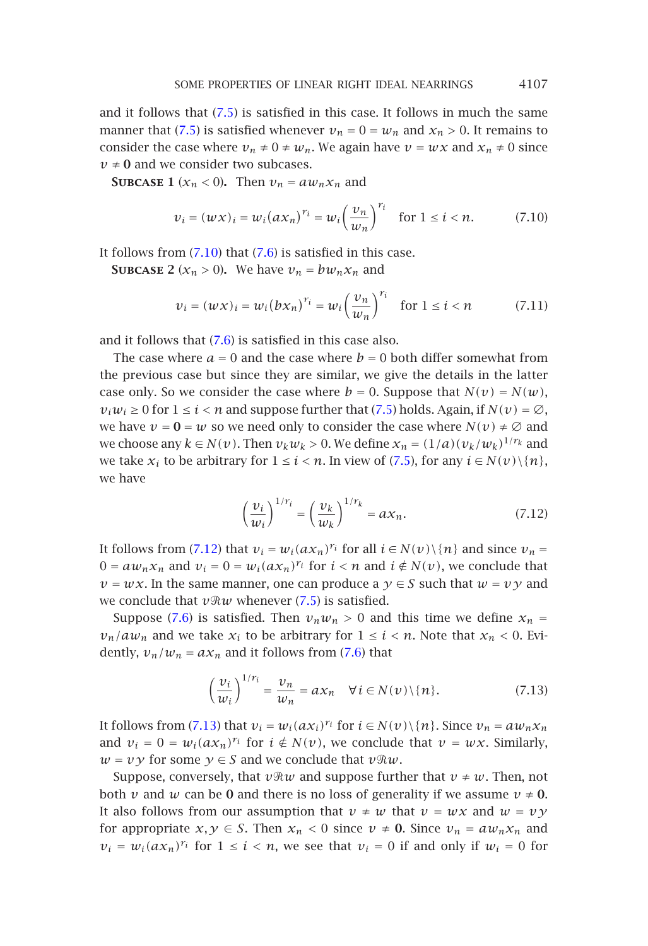and it follows t[hat](#page-22-0) [\(7](#page-22-0).5) is [sati](#page-21-2)sfied in this case. It follows in much the same manner that (7.5) is satisfied whenever  $v_n = 0 = w_n$  and  $x_n > 0$ . It remains to consider the case where  $v_n \neq 0 \neq w_n$ . We again have  $v = wx$  and  $x_n \neq 0$  since  $v \neq 0$  and we consider two subcases.

**SUBCASE 1** ( $x_n < 0$ ). Then  $v_n = a w_n x_n$  and

<span id="page-22-0"></span>
$$
v_i = (w \times)_i = w_i (a \times_n)^{r_i} = w_i \left(\frac{v_n}{w_n}\right)^{r_i}
$$
 for  $1 \le i < n$ . (7.10)

It follows from  $(7.10)$  that  $(7.6)$  is satisfied in t[his ca](#page-21-0)se.

**SUBCASE** 2 ( $x_n > 0$ ). We have  $v_n = bw_n x_n$  and

$$
\nu_i = (w \times)_i = w_i (b \times_n)^{r_i} = w_i \left(\frac{\nu_n}{\nu_n}\right)^{r_i} \quad \text{for } 1 \le i < n \tag{7.11}
$$

and it follows that (7.6) is satisfied in this case also.

The case where  $a = 0$  and the case where  $b = 0$  both differ somewhat from the previous case but since they are similar, we give the details in the latter case only. So w[e con](#page-22-1)sider the case where  $b = 0$ . Suppose that  $N(v) = N(w)$ ,  $v_iw_i \ge 0$  for  $1 \le i \le n$  and suppose further that (7.5) holds. Again, if  $N(v) = \emptyset$ , we have  $v = 0 = w$  so we need only to consider the case where  $N(v) \neq \emptyset$  and we choose any  $k \in N(v)$ . Then  $v_k w_k > 0$  $v_k w_k > 0$  $v_k w_k > 0$ . We define  $x_n = (1/a)(v_k/w_k)^{1/r_k}$  and we take  $x_i$  t[o be](#page-21-2) arbitrary for  $1 \le i < n$ . In view of (7.5), for any  $i \in N(v) \setminus \{n\}$ , we have

<span id="page-22-2"></span><span id="page-22-1"></span>
$$
\left(\frac{\nu_i}{w_i}\right)^{1/r_i} = \left(\frac{\nu_k}{w_k}\right)^{1/r_k} = ax_n.
$$
\n(7.12)

It follows from (7.12) that  $v_i = w_i(ax_n)^{r_i}$  for all  $i \in N(v) \setminus \{n\}$  and since  $v_n =$  $0 = a w_n x_n$  and  $v_i = 0 = w_i (a x_n)^{r_i}$  for  $i < n$  and  $i \notin N(v)$ , we conclude that  $\nu = wx$ . In the [same](#page-22-2) manner, one can produce a  $\gamma \in S$  such that  $w = v \gamma$  and we conclude that  $v \Re w$  whenever (7.5) is satisfied.

Suppose (7.6) is satisfied. Then  $v_nw_n > 0$  and this time we define  $x_n =$  $v_n/aw_n$  and we take  $x_i$  to be arbitrary for  $1 \le i \le n$ . Note that  $x_n \le 0$ . Evidently,  $v_n/w_n = ax_n$  and it follows from (7.6) that

$$
\left(\frac{\nu_i}{w_i}\right)^{1/r_i} = \frac{\nu_n}{w_n} = ax_n \quad \forall \, i \in N(\nu) \setminus \{n\}.\tag{7.13}
$$

It follows from (7.13) that  $v_i = w_i(ax_i)^{r_i}$  for  $i \in N(v) \setminus \{n\}$ . Since  $v_n = aw_nx_n$ and  $v_i = 0 = w_i(ax_n)^{r_i}$  for  $i \notin N(v)$ , we conclude that  $v = wx$ . Similarly,  $w = v y$  for some  $y \in S$  and we conclude that  $v \Re w$ .

Suppose, conversely, that  $v \Re w$  and suppose further that  $v \neq w$ . Then, not both *v* and *w* can be **0** and there is no loss of generality if we assume  $v \neq 0$ . It also follows from our assumption that  $v \neq w$  that  $v = wx$  and  $w = vy$ for appropriate  $x, y \in S$ . Then  $x_n < 0$  since  $v \neq 0$ . Since  $v_n = a w_n x_n$  and  $v_i = w_i(ax_n)^{r_i}$  for  $1 \le i < n$ , we see that  $v_i = 0$  if and only if  $w_i = 0$  for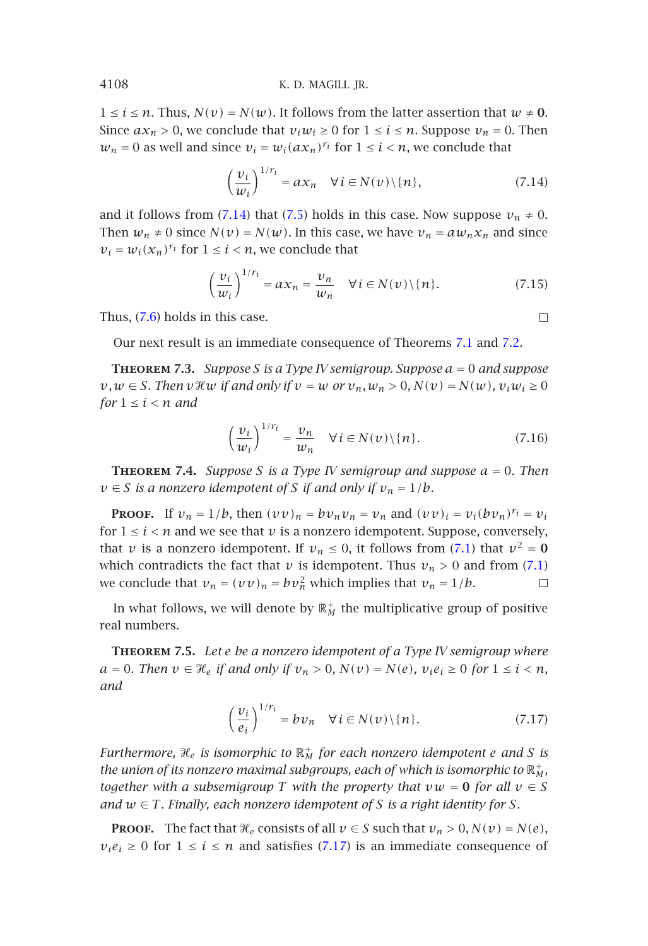$1 \leq i \leq n$ . Thus,  $N(v) = N(w)$ . It follows from the latter assertion that  $w \neq 0$ . Since  $ax_n > 0$ , we conclude that  $v_iw_i \ge 0$  for  $1 \le i \le n$ . Suppose  $v_n = 0$ . Then  $w_n = 0$  as well and since  $v_i = w_i (ax_n)^{r_i}$  for  $1 \le i \le n$ , we conclude that

$$
\left(\frac{\nu_i}{w_i}\right)^{1/r_i} = ax_n \quad \forall \, i \in N(\nu) \setminus \{n\},\tag{7.14}
$$

and it follows from (7.14) that (7.5) holds in this case. Now suppose  $v_n \neq 0$ . Then  $w_n \neq 0$  since  $N(v) = N(w)$ . In this case, we have  $v_n = aw_n x_n$  and since  $v_i = w_i(x_n)^{r_i}$  for  $1 \leq i \leq n$ , we conclude that

$$
\left(\frac{\nu_i}{w_i}\right)^{1/r_i} = a x_n = \frac{\nu_n}{\nu_n} \quad \forall \, i \in N(\nu) \setminus \{n\}.\tag{7.15}
$$

 $\Box$ 

<span id="page-23-0"></span>Thus, (7.6) holds in this case.

Our next result is an immediate consequence of Theorems 7.1 and 7.2.

**Theorem 7.3.** *Suppose S is a Type IV semigroup. Suppose a* = 0 *and suppose v*, *w* ∈ *S.* Then *v*<sup>*x*</sup>(*w if and only if v* = *w or v<sub>n</sub>*, *w<sub>n</sub>* > 0, *N*(*v*) = *N*(*w*), *v*<sub>*i*</sub>  $\omega$ <sub>*i*</sub> ≥ 0 *for*  $1 \leq i \leq n$  *and* 

$$
\left(\frac{\nu_i}{w_i}\right)^{1/r_i} = \frac{\nu_n}{w_n} \quad \forall \, i \in N(\nu) \setminus \{n\}.\tag{7.16}
$$

<span id="page-23-1"></span>**Theorem 7.4.** *Suppose S is a Type IV semigroup and suppose a* = 0*. Then*  $v \in S$  *is a nonzero idempotent of S if and only if*  $v_n = 1/b$ *.* 

**PROOF.** If  $v_n = 1/b$ , then  $(vv)_n = bv_n v_n = v_n$  and  $(vv)_i = v_i (bv_n)^{r_i} = v_i$ for  $1 \leq i \leq n$  and we see that  $\nu$  is a nonzero idempotent. Suppose, conversely, that *v* is a nonzero idempotent. If  $v_n \le 0$ , it follows from (7.1) that  $v^2 = 0$ which contradicts the fact that *v* is idempotent. Thus  $v_n > 0$  and from (7.1) we conclude that  $v_n = (vv)_n = bv_n^2$  which implies that  $v_n = 1/b$ .  $\Box$ 

In what follows, we will denote by  $\mathbb{R}^+_M$  the multiplicative group of positive real numbers.

**Theorem 7.5.** *Let e be a nonzero idempotent of a Type IV semigroup where a* = 0*. Then*  $v \in \mathcal{H}_e$  *if and only if*  $v_n > 0$ *,*  $N(v) = N(e)$ *,*  $v_i e_i ≥ 0$  *for*  $1 ≤ i < n$ *, and*

$$
\left(\frac{\nu_i}{e_i}\right)^{1/r_i} = bv_n \quad \forall \, i \in N(\nu) \setminus \{n\}.\tag{7.17}
$$

*Furthermore,*  $\mathcal{H}_e$  *is isomorphic to*  $\mathbb{R}_M^+$  *for each nonzero idempotent e and S is* the union of its nonzero maximal subgroups, each of which is isomorphic to  $\mathbb{R}_{M}^{+},$ *together with a subsemigroup T with the property that*  $vw = 0$  *for all*  $v \in S$ *and*  $w \in T$ *. Finally, each nonzero idempotent of S is a right identity for S.* 

**PROOF.** The fact that  $\mathcal{H}_e$  consists of all  $v \in S$  such that  $v_n > 0$ ,  $N(v) = N(e)$ ,  $v_i e_i \geq 0$  for  $1 \leq i \leq n$  and satisfies (7.17) is an immediate consequence of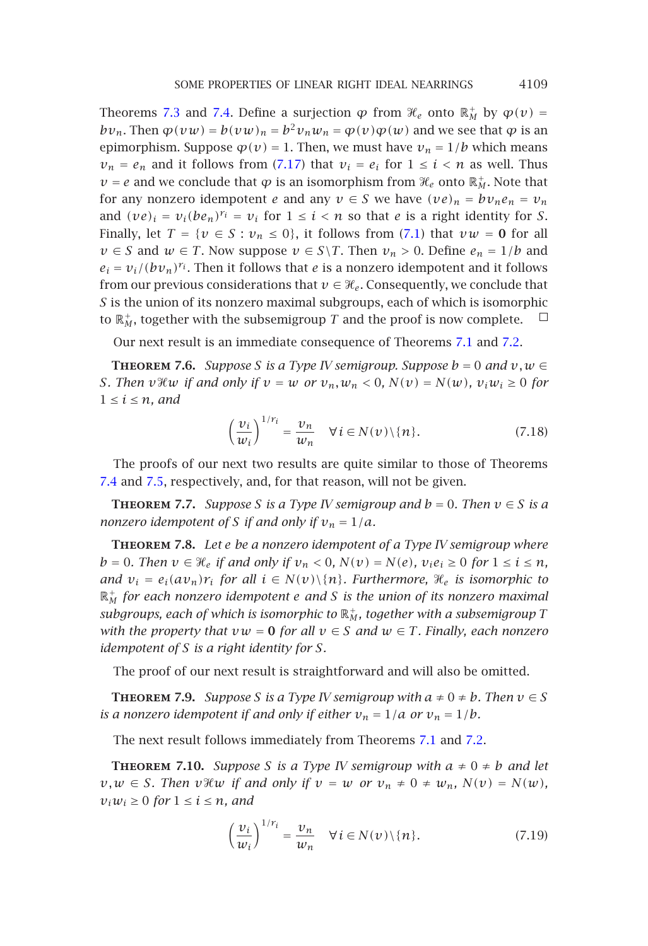#### SOME PROPERTIES OF LINEAR RIGHT IDEA[L NE](#page-20-0)ARRINGS 4109

Theorems 7.3 and 7.4. Define a surjection  $\varphi$  from  $\mathcal{H}_e$  onto  $\mathbb{R}^+_M$  by  $\varphi(v) =$ *bv<sub>n</sub>*. Then  $\varphi(vw) = b(vw)_n = b^2v_nw_n = \varphi(v)\varphi(w)$  and we see that  $\varphi$  is an epimorphism. Suppose  $\varphi(v) = 1$ . Then, we must have  $v_n = 1/b$  which means  $v_n = e_n$  and it follows from (7.17) that  $v_i = e_i$  for  $1 \le i \le n$  as well. Thus  $\nu = e$  and we conclude that  $\varphi$  is an isomorphism from  $\mathcal{H}_e$  onto  $\mathbb{R}_M^+$ . Note that for any nonzero idempot[en](#page-21-4)t *e* and any  $v \in S$  we have  $(ve)_n = bv_n e_n = v_n$  $(ve)_n = bv_n e_n = v_n$  $(ve)_n = bv_n e_n = v_n$ and  $(\nu e)_i = v_i(be_n)^{r_i} = v_i$  for  $1 \leq i < n$  so that *e* is a right identity for *S*. Finally, let  $T = \{v \in S : v_n \leq 0\}$ , it follows from (7.1) that  $vw = 0$  for all *v* ∈ *S* and *w* ∈ *T*. Now suppose *v* ∈ *S*\*T*. Then *v<sub>n</sub>* > 0. Define *e<sub>n</sub>* = 1*/b* and  $e_i = v_i/(bv_n)^{r_i}$ . Then it follows that *e* is a nonzero idempotent and it follows from our previous considerations that  $v \in \mathcal{H}_e$ . Consequently, we conclude that *S* is the union of its nonzero maximal subgroups, each of which is isomorphic to  $\mathbb{R}^+_M$ , together with the subsemigroup  $T$  and the proof is now complete.

[O](#page-23-0)ur [next](#page-23-1) result is an immediate consequence of Theorems 7.1 and 7.2.

**THEOREM** 7.6. *Suppose S* is a Type *IV* semigroup. Suppose  $b = 0$  and  $v, w \in$ *S. Then v* $\mathcal{H}w$  *if and only if*  $v = w$  *or*  $v_n, w_n < 0$ ,  $N(v) = N(w)$ ,  $v_iw_i \ge 0$  for  $1 \leq i \leq n$ , and

$$
\left(\frac{\nu_i}{w_i}\right)^{1/r_i} = \frac{\nu_n}{w_n} \quad \forall \, i \in N(\nu) \setminus \{n\}.\tag{7.18}
$$

The proofs of our next two results are quite similar to those of Theorems 7.4 and 7.5, respectively, and, for that reason, will not be given.

**THEOREM** 7.7. *Suppose S is a Type IV semigroup and*  $b = 0$ *. Then*  $v \in S$  *is a nonzero idempotent of S if and only if*  $v_n = 1/a$ *.* 

**Theorem 7.8.** *Let e be a nonzero idempotent of a Type IV semigroup where b* = 0*.* Then  $v \in \mathcal{H}_e$  if and only if  $v_n < 0$ ,  $N(v) = N(e)$ ,  $v_i e_i \ge 0$  for  $1 \le i \le n$ , *and*  $v_i = e_i(av_n)r_i$  *for all*  $i \in N(v) \setminus \{n\}$ *. Furthermore,*  $\mathcal{H}_e$  *is isomorphic to* R<sup>+</sup> *<sup>M</sup> for each nonzero idempotent e and S is the union [of](#page-20-1) [its](#page-20-1) no[nzer](#page-21-4)o maximal*  $s$ ubgroups, each of which is isomorphic to  $\mathbb{R}^*_M$ , together with a subsemigroup  $T$ *with the property that*  $vw = 0$  *for all*  $v \in S$  *and*  $w \in T$ *. Finally, each nonzero idempotent of S is a right identity for S.*

The proof of our next result is straightforward and will also be omitted.

**THEOREM** 7.9. Suppose *S* is a Type *IV* semigroup with  $a \neq 0 \neq b$ . Then  $v \in S$ *is a nonzero idempotent if and only if either*  $v_n = 1/a$  *or*  $v_n = 1/b$ *.* 

The next result follows immediately from Theorems 7.1 and 7.2.

**THEOREM** 7.10. *Suppose S* is a Type *IV* semigroup with  $a \neq 0 \neq b$  and let  $v, w \in S$ *. Then*  $v \mathcal{H}w$  *if and only if*  $v = w$  *or*  $v_n \neq 0 \neq w_n$ ,  $N(v) = N(w)$ ,  $v_i w_i \geq 0$  *for*  $1 \leq i \leq n$ *, and* 

$$
\left(\frac{\nu_i}{w_i}\right)^{1/r_i} = \frac{\nu_n}{w_n} \quad \forall \, i \in N(\nu) \setminus \{n\}.\tag{7.19}
$$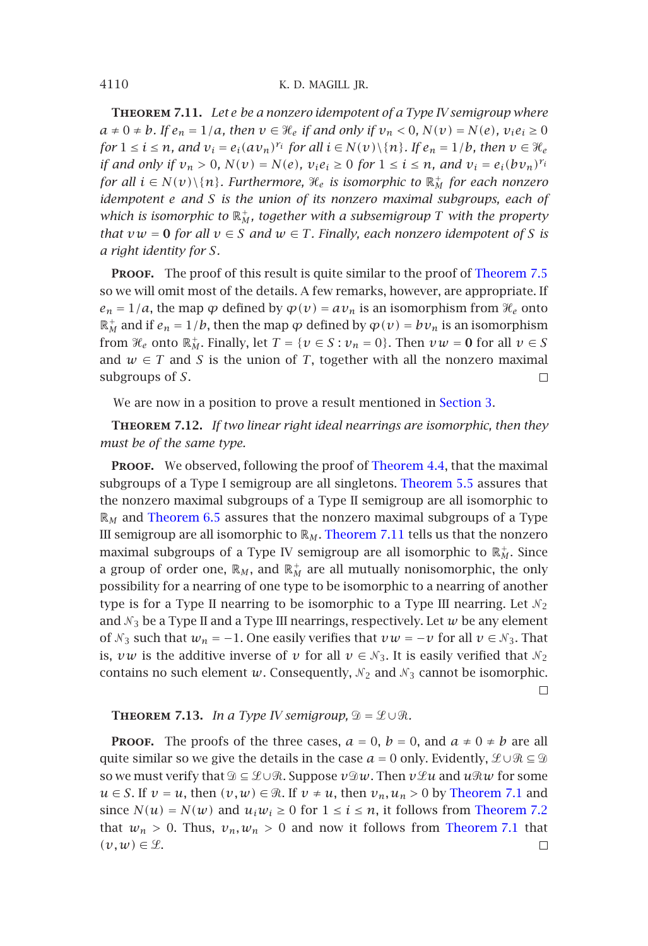**Theorem 7.11.** *Let e be a nonzero idempotent of a Type IV sem[igroup where](#page-23-1)*  $a \neq 0 \neq b$ *.* If  $e_n = 1/a$ , then  $v \in \mathcal{H}_e$  if and only if  $v_n < 0$ ,  $N(v) = N(e)$ ,  $v_i e_i \geq 0$ *for*  $1 \le i \le n$ *, and*  $v_i = e_i (a v_n)^{r_i}$  *for all*  $i \in N(v) \setminus \{n\}$ *. If*  $e_n = 1/b$ *, then*  $v \in \mathcal{H}_e$ *if and only if*  $v_n > 0$ ,  $N(v) = N(e)$ ,  $v_i e_i \ge 0$  for  $1 \le i \le n$ , and  $v_i = e_i (bv_n)^{r_i}$ *for all*  $i \in N(v) \setminus \{n\}$ . Furthermore,  $\mathcal{H}_e$  is isomorphic to  $\mathbb{R}^+_M$  for each nonzero *idempotent e and S is the union of its nonzero maximal subgroups, each of* which is isomorphic to  $\mathbb{R}^+_M$ , together with a subsemigroup  $T$  with the property *that*  $vw = 0$  *for all*  $v \in S$  *and*  $w \in T$ *. Finally, each nonzero idempotent of S is a right identity for S.*

**PROOF.** The proof of this result is quite similar to the proof of Theorem 7.5 so we will omit most of the details. A few remarks, however, are appropriate. If  $e_n = 1/a$ , the map  $\varphi$  defined by  $\varphi(v) = av_n$  is [an isomorph](#page-13-5)ism from  $\mathcal{H}_e$  onto  $\mathbb{R}_M^+$  and if  $e_n = 1/b$ , then the map  $\varphi$  defined by  $\varphi(v) = bv_n$  [is an i](#page-15-0)somorphism from  $\mathcal{H}_e$  onto  $\mathbb{R}_M^+$ . Finally, let  $T = \{v \in S : v_n = 0\}$ . Then  $vw = 0$  for all  $v \in S$ [and](#page-18-2)  $w \in T$  and *S* is the union of *T*, together with all the nonzero maximal subgroups of *S*.  $\Box$ 

We are now in a position to prove a result mentioned in Section 3.

**Theorem 7.12.** *If two linear right ideal nearrings are isomorphic, then they must be of the same type.*

PROOF. We observed, following the proof of Theorem 4.4, that the maximal subgroups of a Type I semigroup are all singletons. Theorem 5.5 assures that the nonzero maximal subgroups of a Type II semigroup are all isomorphic to  $\mathbb{R}_M$  and Theorem 6.5 assures that the nonzero maximal subgroups of a Type III semigroup are all isomorphic to  $\mathbb{R}_M$ . Theorem 7.11 tells us that the nonzero maximal subgroups of a Type IV semigroup are all isomorphic to  $\mathbb{R}_M^+$ . Since a group of order one,  $\mathbb{R}_M$ , and  $\mathbb{R}^+_M$  are all mutually nonisomorphic, the only possibility for a nearring of one type to be isomorphic to a nearring of another type is for a Type II nearring to be isomorphic to a Type III nearring. Let  $\mathcal{N}_2$ and  $\mathcal{N}_3$  be a Type II and a Type III nearrings, respectively. Let  $w$  be any element of  $\mathcal{N}_3$  such that  $w_n = -1$ . One easily verifies that  $v w = -v$  f[or all](#page-20-1)  $v \in \mathcal{N}_3$ . That is, *vw* is the additive inverse of *v* for all  $v \in \mathcal{N}_3$ . It is easily ve[rified that](#page-21-4)  $\mathcal{N}_2$ contains no such element *w*. Consequently,  $N_2$  and  $N_3$  can[not be isomorp](#page-20-1)hic.  $\Box$ 

#### **THEOREM 7.13.** *In a Type IV semigroup,*  $\mathcal{D} = \mathcal{L} \cup \mathcal{R}$ *.*

<span id="page-25-0"></span>**PROOF.** The proofs of the three cases,  $a = 0$ ,  $b = 0$ , and  $a \neq 0 \neq b$  are all quite similar so we give the details in the case  $a = 0$  only. Evidently,  $\mathcal{L} \cup \mathcal{R} \subseteq \mathcal{D}$ so we must verify that  $\mathcal{D} \subseteq \mathcal{L} \cup \mathcal{R}$ . Suppose  $v \mathcal{D}w$ . Then  $v \mathcal{L}u$  and  $u \mathcal{R}w$  for some *u* ∈ *S*. If *v* = *u*, then  $(v, w)$  ∈  $\Re$ . If *v* ≠ *u*, then *v<sub>n</sub>*, *u<sub>n</sub>* > 0 by Theorem 7.1 and since  $N(u) = N(w)$  and  $u_i w_i \ge 0$  for  $1 \le i \le n$ , it follows from Theorem 7.2 that  $w_n > 0$ . Thus,  $v_n, w_n > 0$  and now it follows from Theorem 7.1 that  $(v,w) \in \mathcal{L}$ .  $\Box$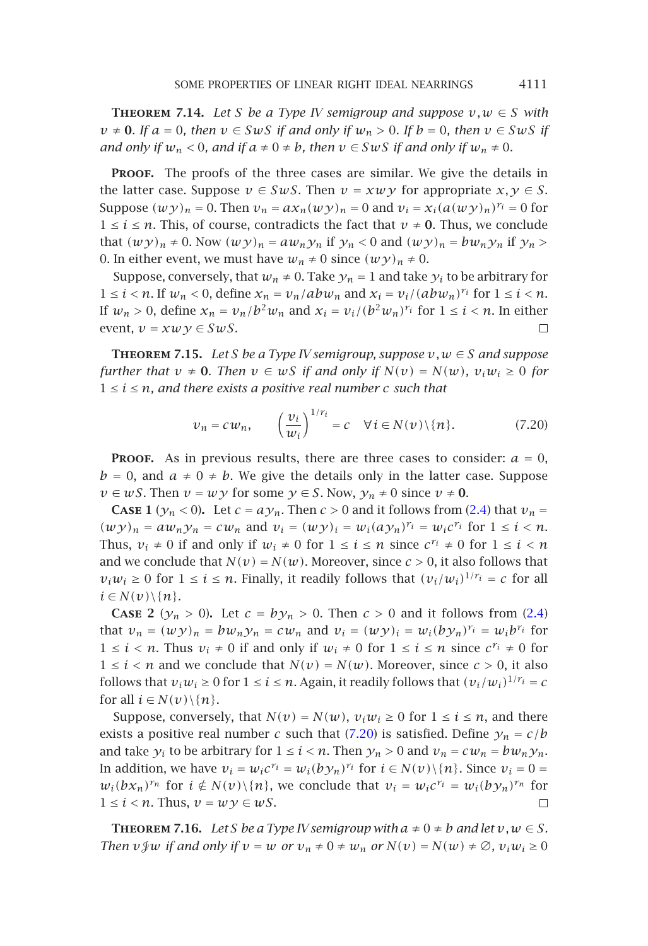**THEOREM** 7.14. Let *S* be a Type *IV* semigroup and suppose  $v, w \in S$  with  $v \neq 0$ *. If*  $a = 0$ *, then*  $v \in SwS$  *if and only if*  $w_n > 0$ *. If*  $b = 0$ *, then*  $v \in SwS$  *if and only if*  $w_n < 0$ *, and if*  $a \neq 0 \neq b$ *, then*  $v \in SwS$  *if and only if*  $w_n \neq 0$ *.* 

<span id="page-26-1"></span>PROOF. The proofs of the three cases are similar. We give the details in the latter case. Suppose  $v \in SwS$ . Then  $v = xwy$  for appropriate  $x, y \in S$ . Suppose  $(wy)_n = 0$ . Then  $v_n = ax_n(wy)_n = 0$  and  $v_i = x_i(a(wy)_n)^{r_i} = 0$  for  $1 \leq i \leq n$ . This, of course, contradicts the fact that  $v \neq 0$ . Thus, we conclude that  $(wy)_n \neq 0$ . Now  $(wy)_n = aw_ny_n$  if  $y_n < 0$  and  $(wy)_n = bw_ny_n$  if  $y_n >$ 0. In either event, we must have  $w_n \neq 0$  since  $(wy)_n \neq 0$ .

Suppose, conversely, that  $w_n \neq 0$ . Take  $y_n = 1$  and take  $y_i$  to be arbitrary for  $1 \leq i < n$ . If  $w_n < 0$ , define  $x_n = v_n/abw_n$  and  $x_i = v_i/(abw_n)^{r_i}$  for  $1 \leq i < n$ . If  $w_n > 0$ , define  $x_n = v_n/b^2 w_n$  and  $x_i = v_i/(b^2 w_n)^{r_i}$  for  $1 \le i < n$ . In either event,  $v = xwy \in SwS$ .  $\Box$ 

**THEOREM 7.15.** *Let S be a Type IV semigroup, suppose*  $v, w \in S$  *[an](#page-1-0)d suppose further that*  $v \neq 0$ *. Then*  $v \in wS$  *if and only if*  $N(v) = N(w)$ *,*  $v_i w_i \geq 0$  *for*  $1 \leq i \leq n$ , and there exists a positive real number c such that

<span id="page-26-0"></span>
$$
\nu_n = c w_n, \qquad \left(\frac{v_i}{w_i}\right)^{1/r_i} = c \quad \forall \, i \in N(\nu) \setminus \{n\}.\tag{7.20}
$$

**PROOF.** As in previous results, there are three cases to consider:  $a = 0$ ,  $b = 0$ , and  $a \neq 0 \neq b$ . We give the details only in the latter case. Suppose *v* ∈ *wS*. Then *v* = *wy* for some *y* ∈ *S*. Now,  $y_n \neq 0$  since *v*  $\neq$  **0**.

**CASE 1** ( $y_n < 0$ ). Let  $c = ay_n$ . Then  $c > 0$  and it follows from (2.4) that  $v_n =$  $(wy)_n = aw_ny_n = cw_n$  and  $v_i = (wy)_i = w_i(ay_n)^{r_i} = w_ic^{r_i}$  for  $1 \leq i \leq n$ . Thus,  $v_i \neq 0$  if and only if  $w_i \neq 0$  for  $1 \leq i \leq n$  since  $c^{r_i} \neq 0$  for  $1 \leq i \leq n$ and we conclude that  $N(v) = N(w)$ . Moreover, since  $c > 0$ , it also follows that  $v_iw_i \geq 0$  for  $1 \leq i \leq n$ . Finally, it readily [follow](#page-26-0)s that  $(v_i/w_i)^{1/r_i} = c$  for all  $i \in N(v) \setminus \{n\}.$ 

<span id="page-26-2"></span>**CASE** 2 ( $y_n > 0$ ). Let  $c = by_n > 0$ . Then  $c > 0$  and it follows from (2.4) that  $v_n = (wy)_n = bw_n y_n = cw_n$  and  $v_i = (wy)_i = w_i (by_n)^{r_i} = w_i b^{r_i}$  for 1 ≤ *i* < *n*. Thus  $v_i \neq 0$  if and only if  $w_i \neq 0$  for  $1 \leq i \leq n$  since  $c^{r_i} \neq 0$  for  $1 \leq i \leq n$  and we conclude that  $N(v) = N(w)$ . Moreover, since  $c > 0$ , it also follows that  $v_i w_i \ge 0$  for  $1 \le i \le n$ . Again, it readily follows that  $(v_i/w_i)^{1/r_i} = c$ for all  $i \in N(v) \setminus \{n\}$ .

Suppose, conversely, that  $N(v) = N(w)$ ,  $v_i w_i \ge 0$  for  $1 \le i \le n$ , and there exists a positive real number *c* such that (7.20) is satisfied. Define  $y_n = c/b$ and take  $y_i$  to be arbitrary for  $1 \le i \le n$ . Then  $y_n > 0$  and  $v_n = cw_n = bw_n y_n$ . In addition, we have  $v_i = w_i c^{r_i} = w_i (b y_n)^{r_i}$  for  $i \in N(v) \setminus \{n\}$ . Since  $v_i = 0$  $w_i(bx_n)^{r_n}$  for  $i \notin N(v) \setminus \{n\}$ , we conclude that  $v_i = w_i c^{r_i} = w_i (b y_n)^{r_n}$  for  $1 \leq i \leq n$ . Thus,  $v = wy \in wS$ .

**THEOREM** 7.16. Let *S* be a Type *IV* semigroup with  $a \neq 0 \neq b$  and let  $v, w \in S$ . *Then*  $v \notin w$  *if and only if*  $v = w$  *or*  $v_n \neq 0 \neq w_n$  *or*  $N(v) = N(w) \neq \emptyset$ ,  $v_i w_i \geq 0$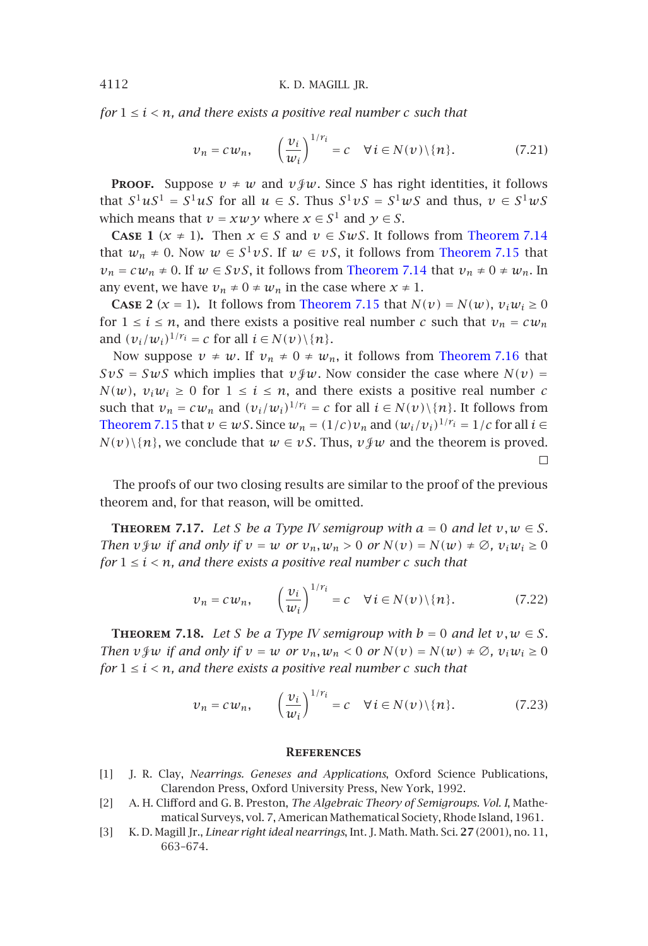*for*  $1 \leq i \leq n$ , and there exists a positive re[al number](#page-25-0) c suc[h](#page-26-1) [that](#page-26-1)

$$
\nu_n = c w_n, \qquad \left(\frac{\nu_i}{w_i}\right)^{1/r_i} = c \quad \forall \, i \in N(\nu) \setminus \{n\}.\tag{7.21}
$$

**PROOF.** Suppose  $v \neq w$  and  $v \circcurlyeq w$ . Since *S* has right identities, it follows that  $S^1 uS^1 = S^1 uS$  for all  $u \in S$ . Thus  $S^1 vS = S^1 wS$  a[nd thus,](#page-26-2)  $v \in S^1 wS$ which means that  $v = xw \gamma$  where  $x \in S^1$  and  $\gamma \in S$ .

**CASE 1** ( $x \ne 1$ ). Then  $x \in S$  and  $v \in SwS$ . It follows from Theorem 7.14 that  $w_n \neq 0$ . Now  $w \in S^1 vS$ . If  $w \in vS$ , it follows from Theorem 7.15 that  $v_n = c w_n \neq 0$ . If  $w \in SvS$ , it follows from Theorem 7.14 that  $v_n \neq 0 \neq w_n$ . In any event, we have  $v_n \neq 0 \neq w_n$  in the case where  $x \neq 1$ .

**CASE 2** ( $x = 1$ ). It follows from Theorem 7.15 that  $N(v) = N(w)$ ,  $v_i w_i \ge 0$ for  $1 \le i \le n$ , and there exists a positive real number *c* such that  $v_n = cw_n$ and  $(v_i/w_i)^{1/r_i} = c$  for all  $i \in N(v) \setminus \{n\}.$ 

Now suppose  $v \neq w$ . If  $v_n \neq 0 \neq w_n$ , it follows from Theorem 7.16 that  $SvS = SwS$  which implies that  $v \circ w$ . Now consider the case where  $N(v) =$ *N(w)*,  $v_i w_i ≥ 0$  for  $1 ≤ i ≤ n$ , and there exists a positive real number *c* such that  $v_n = c w_n$  and  $(v_i/w_i)^{1/r_i} = c$  for all  $i \in N(v) \setminus \{n\}$ . It follows from Theorem 7.15 that  $v \in wS$ . Since  $w_n = (1/c)v_n$  and  $(w_i/v_i)^{1/r_i} = 1/c$  for all  $i \in$ *N*(*v*)\{*n*}, we conclude that  $w \in vS$ . Thus,  $v \circ w$  and the theorem is proved.  $\Box$ 

The proofs of our two closing results are similar to the proof of the previous theorem and, for that reason, will be omitted.

**THEOREM** 7.17. Let *S* be a Type *IV* semigroup with  $a = 0$  and let  $v, w \in S$ . *Then*  $v \notin \mathcal{V}$  *if and only if*  $v = w$  *or*  $v_n, w_n > 0$  *or*  $N(v) = N(w) \neq \emptyset$ ,  $v_i w_i \geq 0$ *for*  $1 \leq i \leq n$ , and there exists a positive real number c such that

$$
\nu_n = c w_n, \qquad \left(\frac{\nu_i}{w_i}\right)^{1/r_i} = c \quad \forall \, i \in N(\nu) \setminus \{n\}.\tag{7.22}
$$

<span id="page-27-2"></span><span id="page-27-1"></span><span id="page-27-0"></span>**THEOREM** 7.18. Let *S* be a Type *IV* semigroup with  $b = 0$  and let  $v, w \in S$ *. Then*  $v \notin w$  *if and only if*  $v = w$  *or*  $v_n, w_n < 0$  *or*  $N(v) = N(w) \neq \emptyset$ ,  $v_i w_i \geq 0$ *for*  $1 \leq i \leq n$ , and there exists a positive real number c such that

$$
\nu_n = c w_n, \qquad \left(\frac{\nu_i}{w_i}\right)^{1/r_i} = c \quad \forall \, i \in N(\nu) \setminus \{n\}.\tag{7.23}
$$

#### **References**

- [1] J. R. Clay, *Nearrings. Geneses and Applications*, Oxford Science Publications, Clarendon Press, Oxford University Press, New York, 1992.
- [2] A. H. Clifford and G. B. Preston, *The Algebraic Theory of Semigroups. Vol. I*, Mathematical Surveys, vol. 7, American Mathematical Society, Rhode Island, 1961.
- [3] K. D. Magill Jr., *Linear right ideal nearrings*, Int. J. Math. Math. Sci. **27** (2001), no. 11, 663–674.